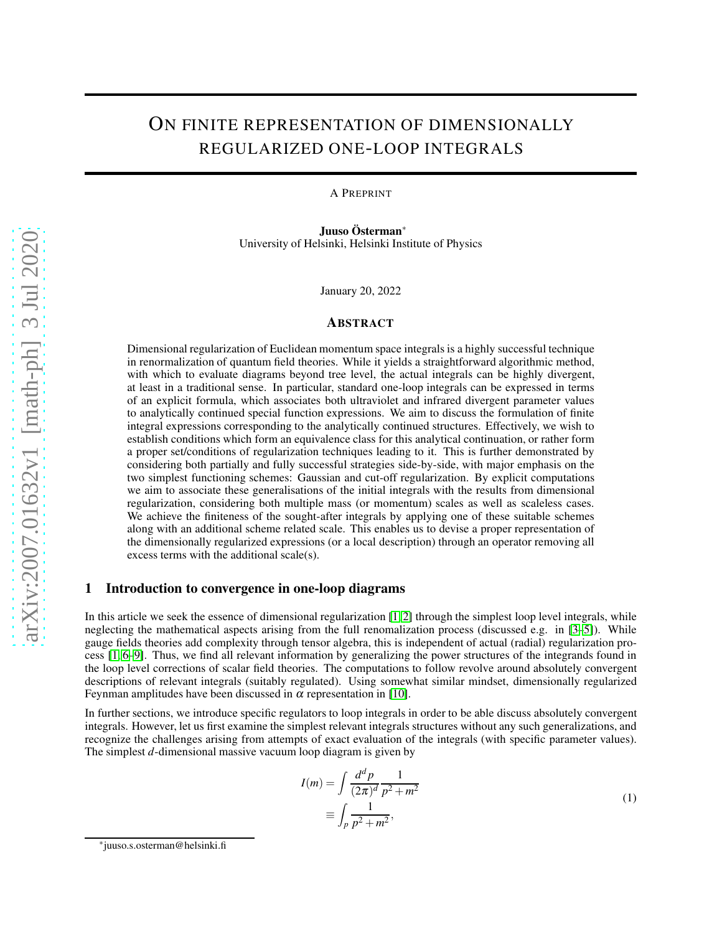# ON FINITE REPRESENTATION OF DIMENSIONALLY REGULARIZED ONE-LOOP INTEGRALS

A PREPRINT

Juuso Österman∗ University of Helsinki, Helsinki Institute of Physics

January 20, 2022

#### ABSTRACT

Dimensional regularization of Euclidean momentum space integrals is a highly successful technique in renormalization of quantum field theories. While it yields a straightforward algorithmic method, with which to evaluate diagrams beyond tree level, the actual integrals can be highly divergent, at least in a traditional sense. In particular, standard one-loop integrals can be expressed in terms of an explicit formula, which associates both ultraviolet and infrared divergent parameter values to analytically continued special function expressions. We aim to discuss the formulation of finite integral expressions corresponding to the analytically continued structures. Effectively, we wish to establish conditions which form an equivalence class for this analytical continuation, or rather form a proper set/conditions of regularization techniques leading to it. This is further demonstrated by considering both partially and fully successful strategies side-by-side, with major emphasis on the two simplest functioning schemes: Gaussian and cut-off regularization. By explicit computations we aim to associate these generalisations of the initial integrals with the results from dimensional regularization, considering both multiple mass (or momentum) scales as well as scaleless cases. We achieve the finiteness of the sought-after integrals by applying one of these suitable schemes along with an additional scheme related scale. This enables us to devise a proper representation of the dimensionally regularized expressions (or a local description) through an operator removing all excess terms with the additional scale(s).

# 1 Introduction to convergence in one-loop diagrams

In this article we seek the essence of dimensional regularization [\[1,](#page-17-0) [2\]](#page-17-1) through the simplest loop level integrals, while neglecting the mathematical aspects arising from the full renomalization process (discussed e.g. in [\[3](#page-17-2)[–5\]](#page-17-3)). While gauge fields theories add complexity through tensor algebra, this is independent of actual (radial) regularization process [\[1,](#page-17-0) [6–](#page-18-0)[9\]](#page-18-1). Thus, we find all relevant information by generalizing the power structures of the integrands found in the loop level corrections of scalar field theories. The computations to follow revolve around absolutely convergent descriptions of relevant integrals (suitably regulated). Using somewhat similar mindset, dimensionally regularized Feynman amplitudes have been discussed in  $\alpha$  representation in [\[10\]](#page-18-2).

In further sections, we introduce specific regulators to loop integrals in order to be able discuss absolutely convergent integrals. However, let us first examine the simplest relevant integrals structures without any such generalizations, and recognize the challenges arising from attempts of exact evaluation of the integrals (with specific parameter values). The simplest *d*-dimensional massive vacuum loop diagram is given by

$$
I(m) = \int \frac{d^d p}{(2\pi)^d} \frac{1}{p^2 + m^2}
$$
  
 
$$
\equiv \int_p \frac{1}{p^2 + m^2},
$$
 (1)

<span id="page-0-0"></span><sup>∗</sup> juuso.s.osterman@helsinki.fi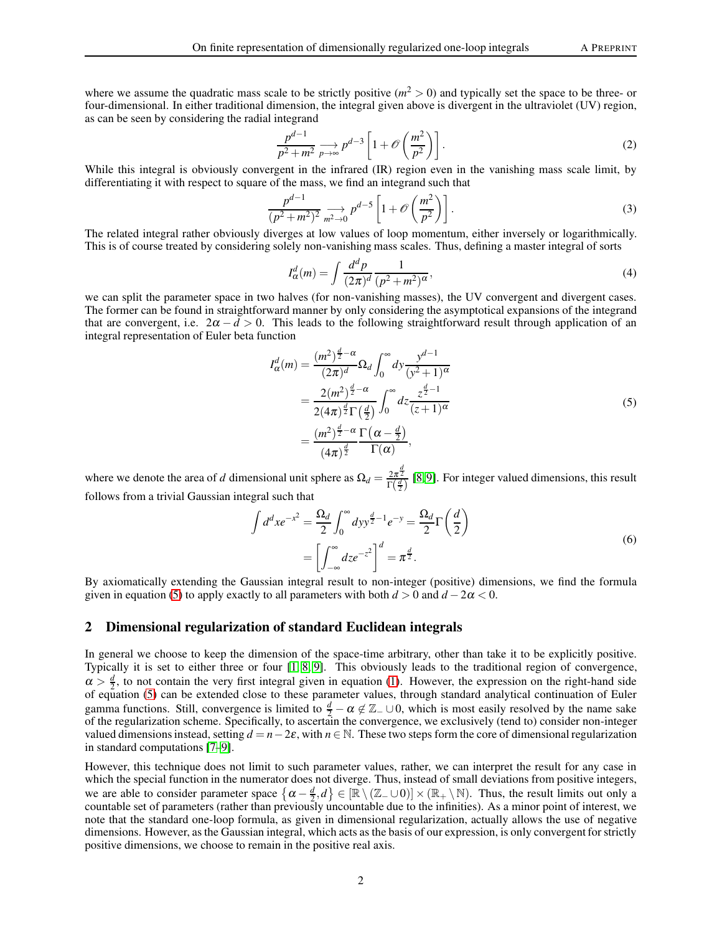where we assume the quadratic mass scale to be strictly positive  $(m^2 > 0)$  and typically set the space to be three- or four-dimensional. In either traditional dimension, the integral given above is divergent in the ultraviolet (UV) region, as can be seen by considering the radial integrand

$$
\frac{p^{d-1}}{p^2 + m^2} \underset{p \to \infty}{\longrightarrow} p^{d-3} \left[ 1 + \mathcal{O}\left(\frac{m^2}{p^2}\right) \right].
$$
 (2)

While this integral is obviously convergent in the infrared (IR) region even in the vanishing mass scale limit, by differentiating it with respect to square of the mass, we find an integrand such that

$$
\frac{p^{d-1}}{(p^2+m^2)^2} \underset{m^2 \to 0}{\longrightarrow} p^{d-5} \left[ 1 + \mathcal{O}\left(\frac{m^2}{p^2}\right) \right].
$$
 (3)

The related integral rather obviously diverges at low values of loop momentum, either inversely or logarithmically. This is of course treated by considering solely non-vanishing mass scales. Thus, defining a master integral of sorts

$$
I_{\alpha}^{d}(m) = \int \frac{d^{d}p}{(2\pi)^{d}} \frac{1}{(p^{2}+m^{2})^{\alpha}},\tag{4}
$$

we can split the parameter space in two halves (for non-vanishing masses), the UV convergent and divergent cases. The former can be found in straightforward manner by only considering the asymptotical expansions of the integrand that are convergent, i.e.  $2\alpha - d > 0$ . This leads to the following straightforward result through application of an integral representation of Euler beta function

$$
I_{\alpha}^{d}(m) = \frac{(m^{2})^{\frac{d}{2}-\alpha}}{(2\pi)^{d}} \Omega_{d} \int_{0}^{\infty} dy \frac{y^{d-1}}{(y^{2}+1)^{\alpha}}
$$
  

$$
= \frac{2(m^{2})^{\frac{d}{2}-\alpha}}{2(4\pi)^{\frac{d}{2}} \Gamma(\frac{d}{2})} \int_{0}^{\infty} dz \frac{z^{\frac{d}{2}-1}}{(z+1)^{\alpha}}
$$
  

$$
= \frac{(m^{2})^{\frac{d}{2}-\alpha} \Gamma(\alpha - \frac{d}{2})}{(4\pi)^{\frac{d}{2}}} \Gamma(\alpha), \qquad (5)
$$

<span id="page-1-0"></span>where we denote the area of *d* dimensional unit sphere as  $\Omega_d = \frac{2\pi^{\frac{d}{2}}}{\Gamma(\frac{d}{2})}$  [\[8,](#page-18-3)9]. For integer valued dimensions, this result follows from a trivial Gaussian integral such that

$$
\int d^d x e^{-x^2} = \frac{\Omega_d}{2} \int_0^\infty dy y^{\frac{d}{2}-1} e^{-y} = \frac{\Omega_d}{2} \Gamma\left(\frac{d}{2}\right)
$$

$$
= \left[\int_{-\infty}^\infty dz e^{-z^2}\right]^d = \pi^{\frac{d}{2}}.
$$
(6)

<span id="page-1-1"></span>By axiomatically extending the Gaussian integral result to non-integer (positive) dimensions, we find the formula given in equation [\(5\)](#page-1-0) to apply exactly to all parameters with both  $d > 0$  and  $d - 2\alpha < 0$ .

## 2 Dimensional regularization of standard Euclidean integrals

In general we choose to keep the dimension of the space-time arbitrary, other than take it to be explicitly positive. Typically it is set to either three or four [\[1,](#page-17-0) [8,](#page-18-3) [9\]](#page-18-1). This obviously leads to the traditional region of convergence,  $\alpha > \frac{d}{2}$ , to not contain the very first integral given in equation [\(1\)](#page-0-0). However, the expression on the right-hand side  $\alpha > \frac{1}{2}$ , to not contain the very first integral given in equation (1). However, the expression on the right-hand side of equation [\(5\)](#page-1-0) can be extended close to these parameter values, through standard analytical conti gamma functions. Still, convergence is limited to  $\frac{d}{2} - \alpha \notin \mathbb{Z}_- \cup 0$ , which is most easily resolved by the name sake of the regularization scheme. Specifically, to ascertain the convergence, we exclusively (tend to) consider non-integer valued dimensions instead, setting  $d = n-2\varepsilon$ , with  $n \in \mathbb{N}$ . These two steps form the core of dimensional regularization in standard computations [\[7–](#page-18-4)[9\]](#page-18-1).

However, this technique does not limit to such parameter values, rather, we can interpret the result for any case in which the special function in the numerator does not diverge. Thus, instead of small deviations from positive integers, we are able to consider parameter space  $\{\alpha - \frac{d}{2}, d\} \in [\mathbb{R} \setminus (\mathbb{Z}_- \cup 0)] \times (\mathbb{R}_+ \setminus \mathbb{N})$ . Thus, the result limits out only a countable set of parameters (rather than previously uncountable due to the infinities). As a minor point of interest, we note that the standard one-loop formula, as given in dimensional regularization, actually allows the use of negative dimensions. However, as the Gaussian integral, which acts as the basis of our expression, is only convergent for strictly positive dimensions, we choose to remain in the positive real axis.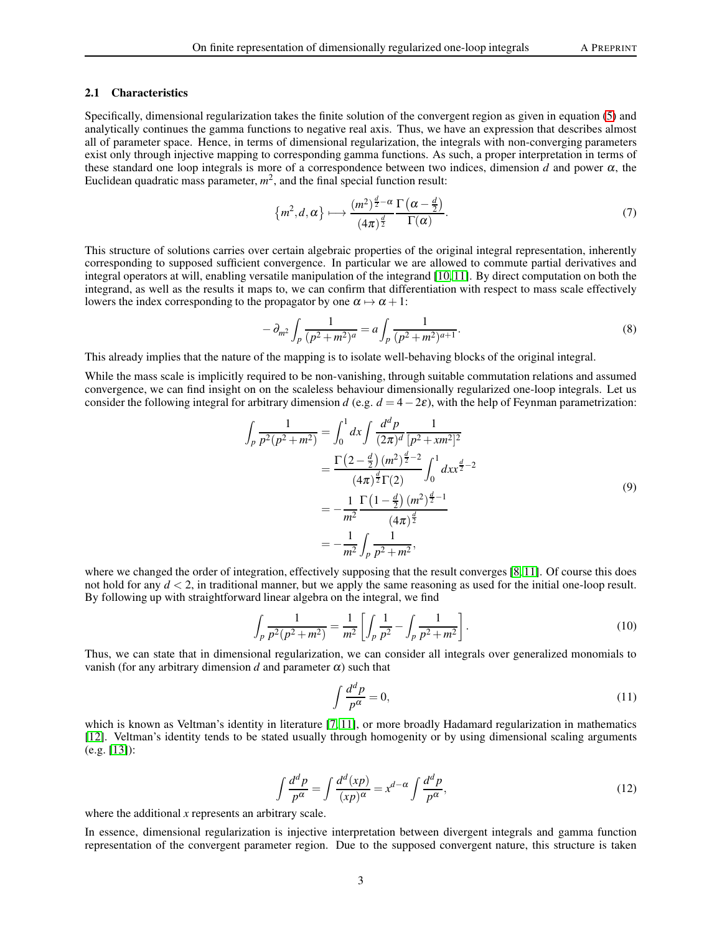#### 2.1 Characteristics

Specifically, dimensional regularization takes the finite solution of the convergent region as given in equation [\(5\)](#page-1-0) and analytically continues the gamma functions to negative real axis. Thus, we have an expression that describes almost all of parameter space. Hence, in terms of dimensional regularization, the integrals with non-converging parameters exist only through injective mapping to corresponding gamma functions. As such, a proper interpretation in terms of these standard one loop integrals is more of a correspondence between two indices, dimension *d* and power  $\alpha$ , the Euclidean quadratic mass parameter,  $m^2$ , and the final special function result:

$$
\{m^2, d, \alpha\} \longmapsto \frac{(m^2)^{\frac{d}{2}-\alpha}}{(4\pi)^{\frac{d}{2}}}\frac{\Gamma\left(\alpha-\frac{d}{2}\right)}{\Gamma(\alpha)}.\tag{7}
$$

This structure of solutions carries over certain algebraic properties of the original integral representation, inherently corresponding to supposed sufficient convergence. In particular we are allowed to commute partial derivatives and integral operators at will, enabling versatile manipulation of the integrand [\[10,](#page-18-2) [11\]](#page-18-5). By direct computation on both the integrand, as well as the results it maps to, we can confirm that differentiation with respect to mass scale effectively lowers the index corresponding to the propagator by one  $\alpha \mapsto \alpha + 1$ :

$$
-\partial_{m^2} \int_p \frac{1}{(p^2 + m^2)^a} = a \int_p \frac{1}{(p^2 + m^2)^{a+1}}.
$$
\n(8)

This already implies that the nature of the mapping is to isolate well-behaving blocks of the original integral.

While the mass scale is implicitly required to be non-vanishing, through suitable commutation relations and assumed convergence, we can find insight on on the scaleless behaviour dimensionally regularized one-loop integrals. Let us consider the following integral for arbitrary dimension *d* (e.g.  $d = 4-2\varepsilon$ ), with the help of Feynman parametrization:

$$
\int_{p} \frac{1}{p^{2}(p^{2}+m^{2})} = \int_{0}^{1} dx \int \frac{d^{d}p}{(2\pi)^{d}} \frac{1}{[p^{2}+xm^{2}]^{2}}
$$
\n
$$
= \frac{\Gamma(2-\frac{d}{2})(m^{2})^{\frac{d}{2}-2}}{(4\pi)^{\frac{d}{2}}\Gamma(2)} \int_{0}^{1} dx x^{\frac{d}{2}-2}
$$
\n
$$
= -\frac{1}{m^{2}} \frac{\Gamma(1-\frac{d}{2})(m^{2})^{\frac{d}{2}-1}}{(4\pi)^{\frac{d}{2}}}
$$
\n
$$
= -\frac{1}{m^{2}} \int_{p} \frac{1}{p^{2}+m^{2}},
$$
\n(9)

where we changed the order of integration, effectively supposing that the result converges [\[8,](#page-18-3) [11\]](#page-18-5). Of course this does not hold for any *d* < 2, in traditional manner, but we apply the same reasoning as used for the initial one-loop result. By following up with straightforward linear algebra on the integral, we find

$$
\int_{p} \frac{1}{p^2(p^2 + m^2)} = \frac{1}{m^2} \left[ \int_{p} \frac{1}{p^2} - \int_{p} \frac{1}{p^2 + m^2} \right].
$$
\n(10)

Thus, we can state that in dimensional regularization, we can consider all integrals over generalized monomials to vanish (for any arbitrary dimension  $d$  and parameter  $\alpha$ ) such that

$$
\int \frac{d^d p}{p^{\alpha}} = 0,\tag{11}
$$

which is known as Veltman's identity in literature [\[7,](#page-18-4) [11\]](#page-18-5), or more broadly Hadamard regularization in mathematics [\[12\]](#page-18-6). Veltman's identity tends to be stated usually through homogenity or by using dimensional scaling arguments (e.g. [\[13\]](#page-18-7)):

$$
\int \frac{d^d p}{p^{\alpha}} = \int \frac{d^d (xp)}{(xp)^{\alpha}} = x^{d-\alpha} \int \frac{d^d p}{p^{\alpha}},
$$
\n(12)

where the additional *x* represents an arbitrary scale.

In essence, dimensional regularization is injective interpretation between divergent integrals and gamma function representation of the convergent parameter region. Due to the supposed convergent nature, this structure is taken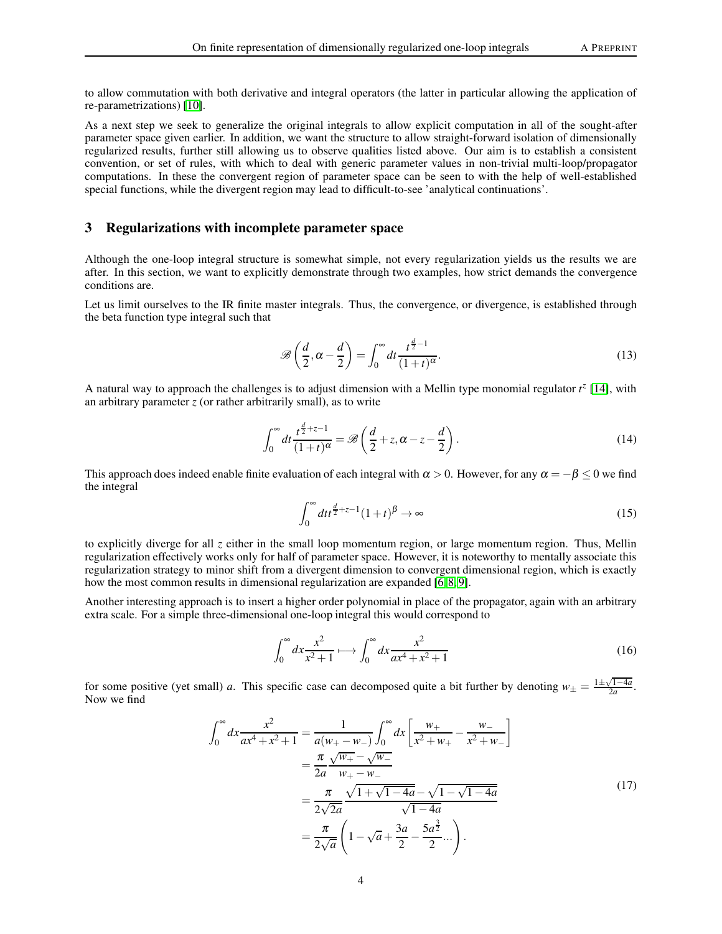to allow commutation with both derivative and integral operators (the latter in particular allowing the application of re-parametrizations) [\[10\]](#page-18-2).

As a next step we seek to generalize the original integrals to allow explicit computation in all of the sought-after parameter space given earlier. In addition, we want the structure to allow straight-forward isolation of dimensionally regularized results, further still allowing us to observe qualities listed above. Our aim is to establish a consistent convention, or set of rules, with which to deal with generic parameter values in non-trivial multi-loop/propagator computations. In these the convergent region of parameter space can be seen to with the help of well-established special functions, while the divergent region may lead to difficult-to-see 'analytical continuations'.

# 3 Regularizations with incomplete parameter space

Although the one-loop integral structure is somewhat simple, not every regularization yields us the results we are after. In this section, we want to explicitly demonstrate through two examples, how strict demands the convergence conditions are.

Let us limit ourselves to the IR finite master integrals. Thus, the convergence, or divergence, is established through the beta function type integral such that

$$
\mathcal{B}\left(\frac{d}{2}, \alpha - \frac{d}{2}\right) = \int_0^\infty dt \frac{t^{\frac{d}{2}-1}}{(1+t)^\alpha}.
$$
\n(13)

A natural way to approach the challenges is to adjust dimension with a Mellin type monomial regulator *t z* [\[14\]](#page-18-8), with an arbitrary parameter  $z$  (or rather arbitrarily small), as to write

$$
\int_0^\infty dt \frac{t^{\frac{d}{2}+z-1}}{(1+t)^\alpha} = \mathscr{B}\left(\frac{d}{2}+z, \alpha-z-\frac{d}{2}\right). \tag{14}
$$

This approach does indeed enable finite evaluation of each integral with  $\alpha > 0$ . However, for any  $\alpha = -\beta \leq 0$  we find the integral

$$
\int_0^\infty dt t^{\frac{d}{2}+z-1} (1+t)^\beta \to \infty \tag{15}
$$

to explicitly diverge for all *z* either in the small loop momentum region, or large momentum region. Thus, Mellin regularization effectively works only for half of parameter space. However, it is noteworthy to mentally associate this regularization strategy to minor shift from a divergent dimension to convergent dimensional region, which is exactly how the most common results in dimensional regularization are expanded [\[6,](#page-18-0) [8,](#page-18-3) [9\]](#page-18-1).

Another interesting approach is to insert a higher order polynomial in place of the propagator, again with an arbitrary extra scale. For a simple three-dimensional one-loop integral this would correspond to

$$
\int_0^\infty dx \frac{x^2}{x^2 + 1} \longmapsto \int_0^\infty dx \frac{x^2}{ax^4 + x^2 + 1} \tag{16}
$$

for some positive (yet small) *a*. This specific case can decomposed quite a bit further by denoting  $w_{\pm} = \frac{1 \pm \sqrt{1-4a}}{2a}$ . Now we find

$$
\int_0^\infty dx \frac{x^2}{ax^4 + x^2 + 1} = \frac{1}{a(w_+ - w_-)} \int_0^\infty dx \left[ \frac{w_+}{x^2 + w_+} - \frac{w_-}{x^2 + w_-} \right]
$$

$$
= \frac{\pi}{2a} \frac{\sqrt{w_+} - \sqrt{w_-}}{w_+ - w_-}
$$

$$
= \frac{\pi}{2\sqrt{2a}} \frac{\sqrt{1 + \sqrt{1 - 4a}} - \sqrt{1 - \sqrt{1 - 4a}}}{\sqrt{1 - 4a}}
$$

$$
= \frac{\pi}{2\sqrt{a}} \left( 1 - \sqrt{a} + \frac{3a}{2} - \frac{5a^{\frac{3}{2}}}{2} \dots \right).
$$
(17)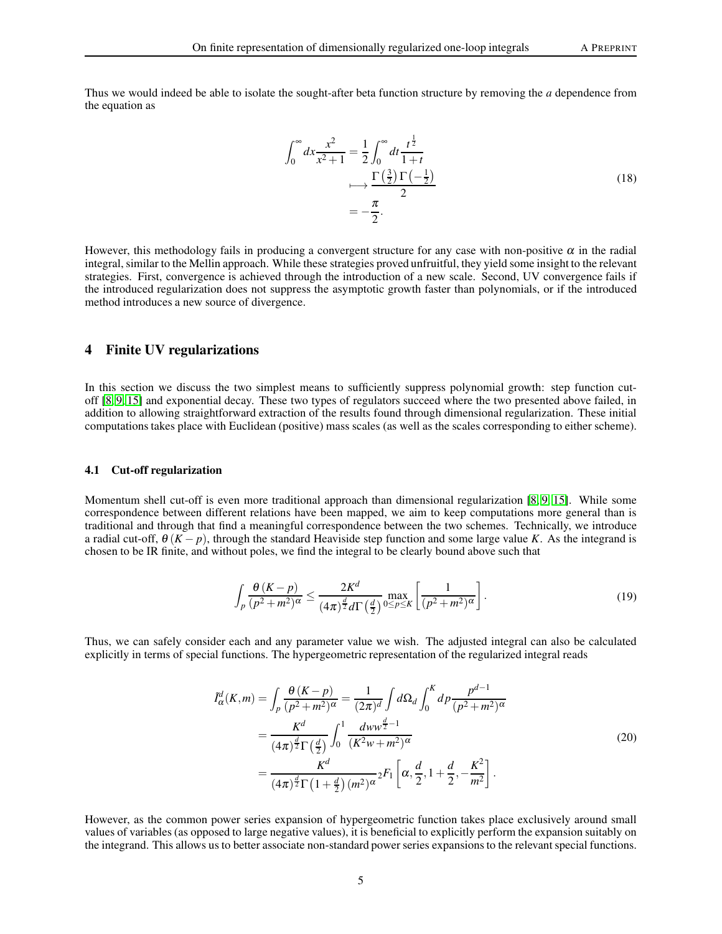Thus we would indeed be able to isolate the sought-after beta function structure by removing the *a* dependence from the equation as

$$
\int_0^\infty dx \frac{x^2}{x^2 + 1} = \frac{1}{2} \int_0^\infty dt \frac{t^{\frac{1}{2}}}{1 + t}
$$
\n
$$
\longmapsto \frac{\Gamma\left(\frac{3}{2}\right) \Gamma\left(-\frac{1}{2}\right)}{2}
$$
\n
$$
= -\frac{\pi}{2}.
$$
\n(18)

However, this methodology fails in producing a convergent structure for any case with non-positive  $\alpha$  in the radial integral, similar to the Mellin approach. While these strategies proved unfruitful, they yield some insight to the relevant strategies. First, convergence is achieved through the introduction of a new scale. Second, UV convergence fails if the introduced regularization does not suppress the asymptotic growth faster than polynomials, or if the introduced method introduces a new source of divergence.

# 4 Finite UV regularizations

In this section we discuss the two simplest means to sufficiently suppress polynomial growth: step function cutoff [\[8,](#page-18-3) [9,](#page-18-1) [15\]](#page-18-9) and exponential decay. These two types of regulators succeed where the two presented above failed, in addition to allowing straightforward extraction of the results found through dimensional regularization. These initial computations takes place with Euclidean (positive) mass scales (as well as the scales corresponding to either scheme).

#### 4.1 Cut-off regularization

Momentum shell cut-off is even more traditional approach than dimensional regularization [\[8,](#page-18-3) [9,](#page-18-1) [15\]](#page-18-9). While some correspondence between different relations have been mapped, we aim to keep computations more general than is traditional and through that find a meaningful correspondence between the two schemes. Technically, we introduce a radial cut-off,  $\theta$  (*K* − *p*), through the standard Heaviside step function and some large value *K*. As the integrand is chosen to be IR finite, and without poles, we find the integral to be clearly bound above such that

$$
\int_{p} \frac{\theta(K-p)}{(p^2+m^2)^{\alpha}} \le \frac{2K^d}{(4\pi)^{\frac{d}{2}} d\Gamma\left(\frac{d}{2}\right)} \max_{0 \le p \le K} \left[\frac{1}{(p^2+m^2)^{\alpha}}\right].
$$
\n(19)

Thus, we can safely consider each and any parameter value we wish. The adjusted integral can also be calculated explicitly in terms of special functions. The hypergeometric representation of the regularized integral reads

$$
\tilde{I}_{\alpha}^{d}(K,m) = \int_{p} \frac{\theta (K-p)}{(p^{2}+m^{2})^{\alpha}} = \frac{1}{(2\pi)^{d}} \int d\Omega_{d} \int_{0}^{K} dp \frac{p^{d-1}}{(p^{2}+m^{2})^{\alpha}}
$$
\n
$$
= \frac{K^{d}}{(4\pi)^{\frac{d}{2}} \Gamma(\frac{d}{2})} \int_{0}^{1} \frac{dw w^{\frac{d}{2}-1}}{(K^{2}w+m^{2})^{\alpha}}
$$
\n
$$
= \frac{K^{d}}{(4\pi)^{\frac{d}{2}} \Gamma(1+\frac{d}{2})(m^{2})^{\alpha}} 2F_{1} \left[ \alpha, \frac{d}{2}, 1+\frac{d}{2}, -\frac{K^{2}}{m^{2}} \right].
$$
\n(20)

However, as the common power series expansion of hypergeometric function takes place exclusively around small values of variables (as opposed to large negative values), it is beneficial to explicitly perform the expansion suitably on the integrand. This allows us to better associate non-standard power series expansions to the relevant special functions.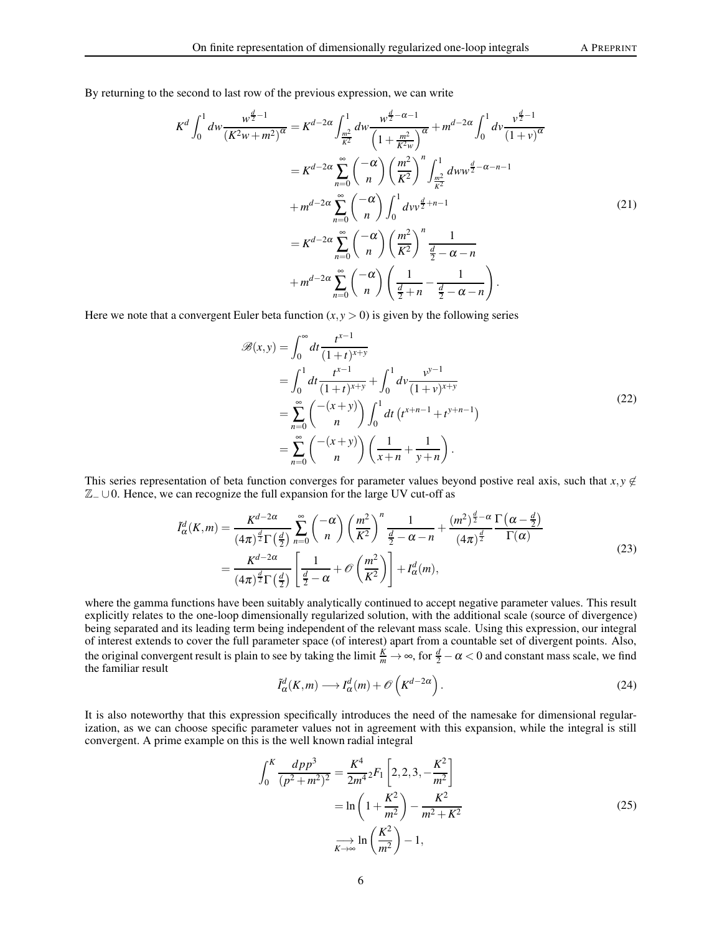By returning to the second to last row of the previous expression, we can write

$$
K^{d} \int_{0}^{1} dw \frac{w^{\frac{d}{2}-1}}{(K^{2}w+m^{2})^{\alpha}} = K^{d-2\alpha} \int_{\frac{m^{2}}{K^{2}}}^{1} dw \frac{w^{\frac{d}{2}-\alpha-1}}{\left(1+\frac{m^{2}}{K^{2}w}\right)^{\alpha}} + m^{d-2\alpha} \int_{0}^{1} dv \frac{v^{\frac{d}{2}-1}}{(1+v)^{\alpha}}
$$
  

$$
= K^{d-2\alpha} \sum_{n=0}^{\infty} {\binom{-\alpha}{n}} \left(\frac{m^{2}}{K^{2}}\right)^{n} \int_{\frac{m^{2}}{K^{2}}}^{1} dw w^{\frac{d}{2}-\alpha-n-1}
$$
  

$$
+ m^{d-2\alpha} \sum_{n=0}^{\infty} {\binom{-\alpha}{n}} \int_{0}^{1} dw v^{\frac{d}{2}+n-1}
$$
  

$$
= K^{d-2\alpha} \sum_{n=0}^{\infty} {\binom{-\alpha}{n}} \left(\frac{m^{2}}{K^{2}}\right)^{n} \frac{1}{\frac{d}{2}-\alpha-n}
$$
  

$$
+ m^{d-2\alpha} \sum_{n=0}^{\infty} {\binom{-\alpha}{n}} \left(\frac{1}{\frac{d}{2}+n} - \frac{1}{\frac{d}{2}-\alpha-n}\right).
$$
 (21)

Here we note that a convergent Euler beta function  $(x, y > 0)$  is given by the following series

$$
\mathcal{B}(x, y) = \int_0^\infty dt \frac{t^{x-1}}{(1+t)^{x+y}} \n= \int_0^1 dt \frac{t^{x-1}}{(1+t)^{x+y}} + \int_0^1 dv \frac{v^{y-1}}{(1+v)^{x+y}} \n= \sum_{n=0}^\infty {\binom{-(x+y)}{n}} \int_0^1 dt (t^{x+n-1} + t^{y+n-1}) \n= \sum_{n=0}^\infty {\binom{-(x+y)}{n}} \left(\frac{1}{x+n} + \frac{1}{y+n}\right).
$$
\n(22)

This series representation of beta function converges for parameter values beyond postive real axis, such that  $x, y \notin$  $\mathbb{Z}_- \cup 0$ . Hence, we can recognize the full expansion for the large UV cut-off as

$$
\tilde{I}_{\alpha}^{d}(K,m) = \frac{K^{d-2\alpha}}{(4\pi)^{\frac{d}{2}}\Gamma(\frac{d}{2})} \sum_{n=0}^{\infty} {\binom{-\alpha}{n}} \left(\frac{m^2}{K^2}\right)^n \frac{1}{\frac{d}{2}-\alpha-n} + \frac{(m^2)^{\frac{d}{2}-\alpha}}{(4\pi)^{\frac{d}{2}}}\frac{\Gamma(\alpha-\frac{d}{2})}{\Gamma(\alpha)}
$$
\n
$$
= \frac{K^{d-2\alpha}}{(4\pi)^{\frac{d}{2}}\Gamma(\frac{d}{2})} \left[\frac{1}{\frac{d}{2}-\alpha} + \mathcal{O}\left(\frac{m^2}{K^2}\right)\right] + I_{\alpha}^{d}(m),\tag{23}
$$

<span id="page-5-0"></span>where the gamma functions have been suitably analytically continued to accept negative parameter values. This result explicitly relates to the one-loop dimensionally regularized solution, with the additional scale (source of divergence) being separated and its leading term being independent of the relevant mass scale. Using this expression, our integral of interest extends to cover the full parameter space (of interest) apart from a countable set of divergent points. Also, the original convergent result is plain to see by taking the limit  $\frac{K}{m} \to \infty$ , for  $\frac{d}{2} - \alpha < 0$  and constant mass scale, we find the familiar result

$$
\tilde{I}_{\alpha}^{d}(K,m) \longrightarrow I_{\alpha}^{d}(m) + \mathcal{O}\left(K^{d-2\alpha}\right). \tag{24}
$$

It is also noteworthy that this expression specifically introduces the need of the namesake for dimensional regularization, as we can choose specific parameter values not in agreement with this expansion, while the integral is still convergent. A prime example on this is the well known radial integral

$$
\int_0^K \frac{dp p^3}{(p^2 + m^2)^2} = \frac{K^4}{2m^4} {}_2F_1 \left[ 2, 2, 3, -\frac{K^2}{m^2} \right]
$$

$$
= \ln \left( 1 + \frac{K^2}{m^2} \right) - \frac{K^2}{m^2 + K^2}
$$

$$
\frac{1}{K \to \infty} \ln \left( \frac{K^2}{m^2} \right) - 1,
$$
 (25)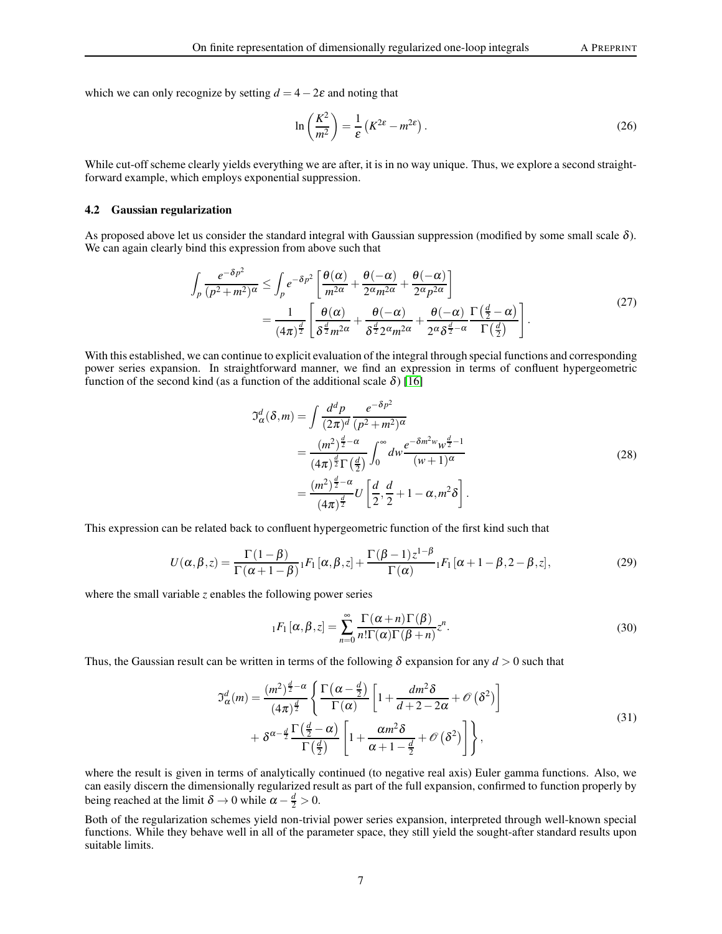which we can only recognize by setting  $d = 4-2\varepsilon$  and noting that

$$
\ln\left(\frac{K^2}{m^2}\right) = \frac{1}{\varepsilon} \left(K^{2\varepsilon} - m^{2\varepsilon}\right). \tag{26}
$$

While cut-off scheme clearly yields everything we are after, it is in no way unique. Thus, we explore a second straightforward example, which employs exponential suppression.

#### 4.2 Gaussian regularization

As proposed above let us consider the standard integral with Gaussian suppression (modified by some small scale  $\delta$ ). We can again clearly bind this expression from above such that

$$
\int_{p} \frac{e^{-\delta p^{2}}}{(p^{2}+m^{2})^{\alpha}} \leq \int_{p} e^{-\delta p^{2}} \left[ \frac{\theta(\alpha)}{m^{2\alpha}} + \frac{\theta(-\alpha)}{2^{\alpha}m^{2\alpha}} + \frac{\theta(-\alpha)}{2^{\alpha}p^{2\alpha}} \right]
$$
\n
$$
= \frac{1}{(4\pi)^{\frac{d}{2}}} \left[ \frac{\theta(\alpha)}{\delta^{\frac{d}{2}}m^{2\alpha}} + \frac{\theta(-\alpha)}{\delta^{\frac{d}{2}}2^{\alpha}m^{2\alpha}} + \frac{\theta(-\alpha)}{2^{\alpha}\delta^{\frac{d}{2}-\alpha}} \frac{\Gamma(\frac{d}{2}-\alpha)}{\Gamma(\frac{d}{2})} \right].
$$
\n(27)

With this established, we can continue to explicit evaluation of the integral through special functions and corresponding power series expansion. In straightforward manner, we find an expression in terms of confluent hypergeometric function of the second kind (as a function of the additional scale  $\delta$ ) [\[16\]](#page-18-10)

$$
\mathcal{I}_{\alpha}^{d}(\delta, m) = \int \frac{d^{d}p}{(2\pi)^{d}} \frac{e^{-\delta p^{2}}}{(p^{2} + m^{2})^{\alpha}}
$$
  
= 
$$
\frac{(m^{2})^{\frac{d}{2} - \alpha}}{(4\pi)^{\frac{d}{2}} \Gamma(\frac{d}{2})} \int_{0}^{\infty} dw \frac{e^{-\delta m^{2}w} w^{\frac{d}{2} - 1}}{(w + 1)^{\alpha}}
$$
  
= 
$$
\frac{(m^{2})^{\frac{d}{2} - \alpha}}{(4\pi)^{\frac{d}{2}}} U\left[\frac{d}{2}, \frac{d}{2} + 1 - \alpha, m^{2} \delta\right].
$$
 (28)

This expression can be related back to confluent hypergeometric function of the first kind such that

$$
U(\alpha, \beta, z) = \frac{\Gamma(1-\beta)}{\Gamma(\alpha+1-\beta)} {}_1F_1[\alpha, \beta, z] + \frac{\Gamma(\beta-1)z^{1-\beta}}{\Gamma(\alpha)} {}_1F_1[\alpha+1-\beta, 2-\beta, z], \tag{29}
$$

where the small variable *z* enables the following power series

$$
{}_{1}F_{1}[\alpha,\beta,z] = \sum_{n=0}^{\infty} \frac{\Gamma(\alpha+n)\Gamma(\beta)}{n!\Gamma(\alpha)\Gamma(\beta+n)} z^{n}.
$$
\n(30)

Thus, the Gaussian result can be written in terms of the following  $\delta$  expansion for any  $d > 0$  such that

$$
\mathfrak{I}_{\alpha}^{d}(m) = \frac{(m^{2})^{\frac{d}{2}-\alpha}}{(4\pi)^{\frac{d}{2}}} \left\{ \frac{\Gamma\left(\alpha-\frac{d}{2}\right)}{\Gamma\left(\alpha\right)} \left[1+\frac{dm^{2}\delta}{d+2-2\alpha}+\mathcal{O}\left(\delta^{2}\right)\right] \right. \\ \left. + \delta^{\alpha-\frac{d}{2}} \frac{\Gamma\left(\frac{d}{2}-\alpha\right)}{\Gamma\left(\frac{d}{2}\right)} \left[1+\frac{\alpha m^{2}\delta}{\alpha+1-\frac{d}{2}}+\mathcal{O}\left(\delta^{2}\right)\right] \right\},\tag{31}
$$

<span id="page-6-0"></span>where the result is given in terms of analytically continued (to negative real axis) Euler gamma functions. Also, we can easily discern the dimensionally regularized result as part of the full expansion, confirmed to function properly by being reached at the limit  $\delta \to 0$  while  $\alpha - \frac{d}{2} > 0$ .

Both of the regularization schemes yield non-trivial power series expansion, interpreted through well-known special functions. While they behave well in all of the parameter space, they still yield the sought-after standard results upon suitable limits.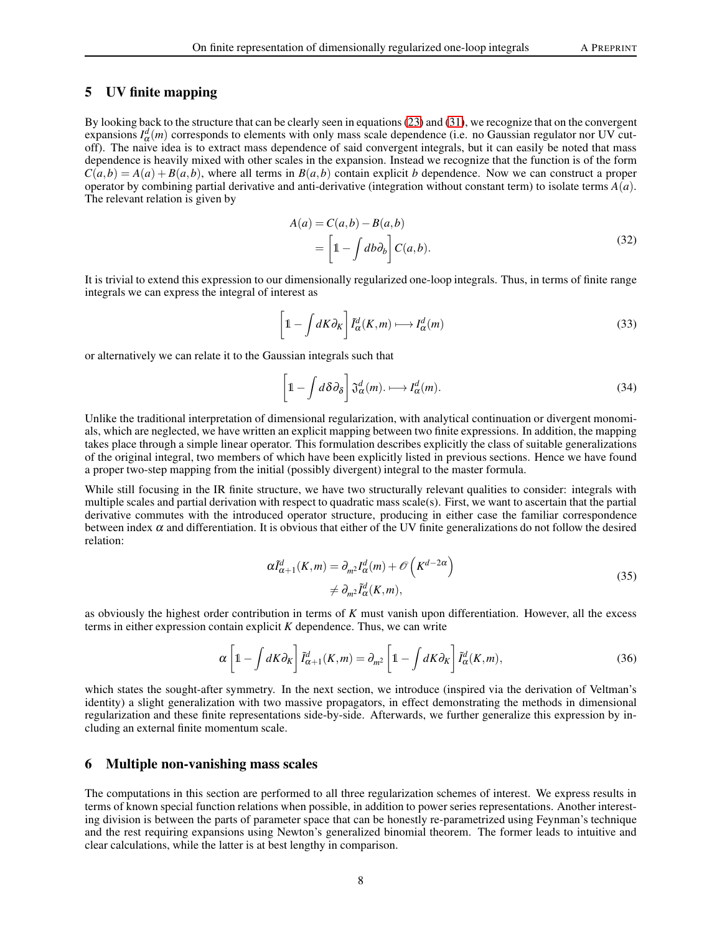# 5 UV finite mapping

By looking back to the structure that can be clearly seen in equations [\(23\)](#page-5-0) and [\(31\)](#page-6-0), we recognize that on the convergent expansions  $I^d_\alpha(m)$  corresponds to elements with only mass scale dependence (i.e. no Gaussian regulator nor UV cutoff). The naive idea is to extract mass dependence of said convergent integrals, but it can easily be noted that mass dependence is heavily mixed with other scales in the expansion. Instead we recognize that the function is of the form  $C(a,b) = A(a) + B(a,b)$ , where all terms in  $B(a,b)$  contain explicit *b* dependence. Now we can construct a proper operator by combining partial derivative and anti-derivative (integration without constant term) to isolate terms  $A(a)$ . The relevant relation is given by

$$
A(a) = C(a,b) - B(a,b)
$$
  
=  $\left[1 - \int db \partial_b\right] C(a,b).$  (32)

It is trivial to extend this expression to our dimensionally regularized one-loop integrals. Thus, in terms of finite range integrals we can express the integral of interest as

$$
\left[1 - \int dK \partial_K\right] \tilde{I}_{\alpha}^d(K, m) \longmapsto I_{\alpha}^d(m) \tag{33}
$$

or alternatively we can relate it to the Gaussian integrals such that

$$
\left[1 - \int d\delta \partial_{\delta}\right] \mathfrak{J}_{\alpha}^{d}(m) \longrightarrow I_{\alpha}^{d}(m). \tag{34}
$$

Unlike the traditional interpretation of dimensional regularization, with analytical continuation or divergent monomials, which are neglected, we have written an explicit mapping between two finite expressions. In addition, the mapping takes place through a simple linear operator. This formulation describes explicitly the class of suitable generalizations of the original integral, two members of which have been explicitly listed in previous sections. Hence we have found a proper two-step mapping from the initial (possibly divergent) integral to the master formula.

While still focusing in the IR finite structure, we have two structurally relevant qualities to consider: integrals with multiple scales and partial derivation with respect to quadratic mass scale(s). First, we want to ascertain that the partial derivative commutes with the introduced operator structure, producing in either case the familiar correspondence between index  $\alpha$  and differentiation. It is obvious that either of the UV finite generalizations do not follow the desired relation:

$$
\alpha \tilde{I}_{\alpha+1}^{d}(K,m) = \partial_{m^2} I_{\alpha}^{d}(m) + \mathcal{O}\left(K^{d-2\alpha}\right)
$$
  

$$
\neq \partial_{m^2} \tilde{I}_{\alpha}^{d}(K,m),
$$
 (35)

as obviously the highest order contribution in terms of *K* must vanish upon differentiation. However, all the excess terms in either expression contain explicit *K* dependence. Thus, we can write

$$
\alpha \left[ 1 - \int dK \partial_K \right] \tilde{I}_{\alpha+1}^d(K, m) = \partial_{m^2} \left[ 1 - \int dK \partial_K \right] \tilde{I}_{\alpha}^d(K, m), \tag{36}
$$

which states the sought-after symmetry. In the next section, we introduce (inspired via the derivation of Veltman's identity) a slight generalization with two massive propagators, in effect demonstrating the methods in dimensional regularization and these finite representations side-by-side. Afterwards, we further generalize this expression by including an external finite momentum scale.

## 6 Multiple non-vanishing mass scales

The computations in this section are performed to all three regularization schemes of interest. We express results in terms of known special function relations when possible, in addition to power series representations. Another interesting division is between the parts of parameter space that can be honestly re-parametrized using Feynman's technique and the rest requiring expansions using Newton's generalized binomial theorem. The former leads to intuitive and clear calculations, while the latter is at best lengthy in comparison.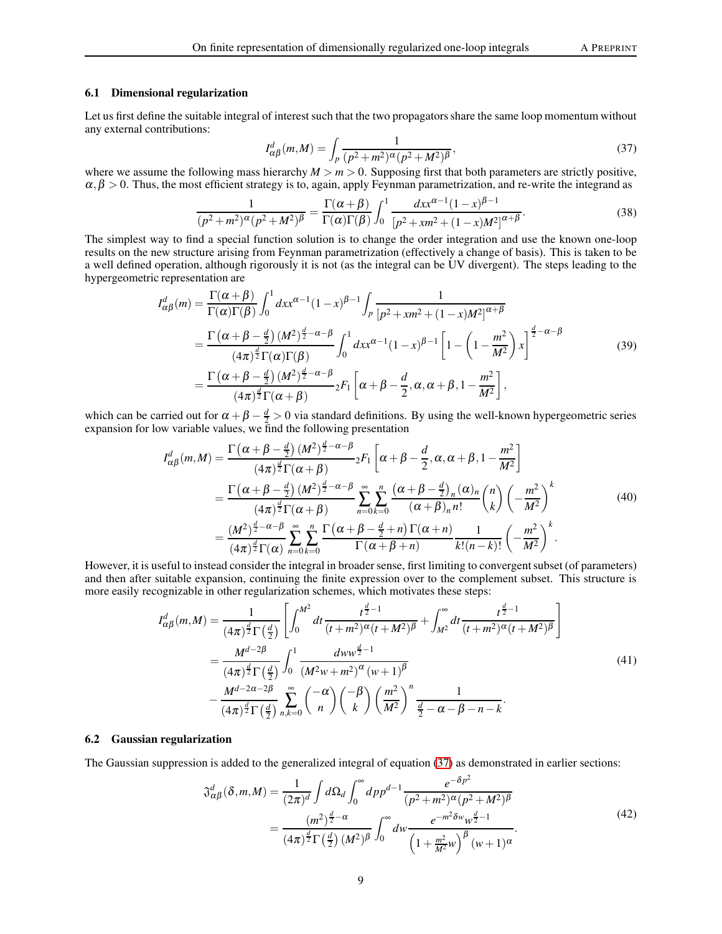#### 6.1 Dimensional regularization

Let us first define the suitable integral of interest such that the two propagators share the same loop momentum without any external contributions:

<span id="page-8-0"></span>
$$
I_{\alpha\beta}^{d}(m,M) = \int_{p} \frac{1}{(p^2 + m^2)^{\alpha}(p^2 + M^2)^{\beta}},
$$
\n(37)

where we assume the following mass hierarchy  $M > m > 0$ . Supposing first that both parameters are strictly positive,  $\alpha, \beta > 0$ . Thus, the most efficient strategy is to, again, apply Feynman parametrization, and re-write the integrand as

$$
\frac{1}{(p^2 + m^2)^{\alpha} (p^2 + M^2)^{\beta}} = \frac{\Gamma(\alpha + \beta)}{\Gamma(\alpha)\Gamma(\beta)} \int_0^1 \frac{dx x^{\alpha - 1} (1 - x)^{\beta - 1}}{\left[p^2 + x m^2 + (1 - x) M^2\right]^{\alpha + \beta}}.
$$
(38)

The simplest way to find a special function solution is to change the order integration and use the known one-loop results on the new structure arising from Feynman parametrization (effectively a change of basis). This is taken to be a well defined operation, although rigorously it is not (as the integral can be UV divergent). The steps leading to the hypergeometric representation are

$$
I_{\alpha\beta}^{d}(m) = \frac{\Gamma(\alpha+\beta)}{\Gamma(\alpha)\Gamma(\beta)} \int_{0}^{1} dx x^{\alpha-1} (1-x)^{\beta-1} \int_{p} \frac{1}{[p^{2}+x m^{2}+(1-x)M^{2}]^{\alpha+\beta}}
$$
  
\n
$$
= \frac{\Gamma(\alpha+\beta-\frac{d}{2}) (M^{2})^{\frac{d}{2}-\alpha-\beta}}{(4\pi)^{\frac{d}{2}} \Gamma(\alpha)\Gamma(\beta)} \int_{0}^{1} dx x^{\alpha-1} (1-x)^{\beta-1} \left[1-\left(1-\frac{m^{2}}{M^{2}}\right) x\right]^{\frac{d}{2}-\alpha-\beta}
$$
  
\n
$$
= \frac{\Gamma(\alpha+\beta-\frac{d}{2}) (M^{2})^{\frac{d}{2}-\alpha-\beta}}{(4\pi)^{\frac{d}{2}} \Gamma(\alpha+\beta)} {}_{2}F_{1}\left[\alpha+\beta-\frac{d}{2},\alpha,\alpha+\beta,1-\frac{m^{2}}{M^{2}}\right],
$$
\n(39)

which can be carried out for  $\alpha + \beta - \frac{d}{2} > 0$  via standard definitions. By using the well-known hypergeometric series expansion for low variable values, we find the following presentation

$$
I_{\alpha\beta}^{d}(m,M) = \frac{\Gamma\left(\alpha+\beta-\frac{d}{2}\right)(M^{2})^{\frac{d}{2}-\alpha-\beta}}{(4\pi)^{\frac{d}{2}}\Gamma(\alpha+\beta)} {}_{2}F_{1}\left[\alpha+\beta-\frac{d}{2},\alpha,\alpha+\beta,1-\frac{m^{2}}{M^{2}}\right]
$$
  

$$
= \frac{\Gamma\left(\alpha+\beta-\frac{d}{2}\right)(M^{2})^{\frac{d}{2}-\alpha-\beta}}{(4\pi)^{\frac{d}{2}}\Gamma(\alpha+\beta)} \sum_{n=0}^{\infty} \sum_{k=0}^{n} \frac{\left(\alpha+\beta-\frac{d}{2}\right)_{n}(\alpha)_{n}}{(\alpha+\beta)_{n}n!} {n \choose k} \left(-\frac{m^{2}}{M^{2}}\right)^{k}
$$
  

$$
= \frac{(M^{2})^{\frac{d}{2}-\alpha-\beta}}{(4\pi)^{\frac{d}{2}}\Gamma(\alpha)} \sum_{n=0}^{\infty} \sum_{k=0}^{n} \frac{\Gamma\left(\alpha+\beta-\frac{d}{2}+n\right)\Gamma(\alpha+n)}{\Gamma(\alpha+\beta+n)} \frac{1}{k!(n-k)!} \left(-\frac{m^{2}}{M^{2}}\right)^{k}.
$$
 (40)

However, it is useful to instead consider the integral in broader sense, first limiting to convergent subset (of parameters) and then after suitable expansion, continuing the finite expression over to the complement subset. This structure is more easily recognizable in other regularization schemes, which motivates these steps:

$$
I_{\alpha\beta}^{d}(m,M) = \frac{1}{(4\pi)^{\frac{d}{2}}\Gamma(\frac{d}{2})} \left[ \int_{0}^{M^{2}} dt \frac{t^{\frac{d}{2}-1}}{(t+m^{2})^{\alpha}(t+M^{2})^{\beta}} + \int_{M^{2}}^{\infty} dt \frac{t^{\frac{d}{2}-1}}{(t+m^{2})^{\alpha}(t+M^{2})^{\beta}} \right]
$$
  

$$
= \frac{M^{d-2\beta}}{(4\pi)^{\frac{d}{2}}\Gamma(\frac{d}{2})} \int_{0}^{1} \frac{dw w^{\frac{d}{2}-1}}{(M^{2}w+m^{2})^{\alpha}(w+1)^{\beta}} - \frac{M^{d-2\alpha-2\beta}}{(4\pi)^{\frac{d}{2}}\Gamma(\frac{d}{2})} \sum_{n,k=0}^{\infty} {\binom{-\alpha}{n}} {\binom{-\beta}{k}} \left(\frac{m^{2}}{M^{2}}\right)^{n} \frac{1}{\frac{d}{2}-\alpha-\beta-n-k}.
$$
 (41)

#### 6.2 Gaussian regularization

The Gaussian suppression is added to the generalized integral of equation [\(37\)](#page-8-0) as demonstrated in earlier sections:

$$
\mathfrak{J}_{\alpha\beta}^{d}(\delta, m, M) = \frac{1}{(2\pi)^{d}} \int d\Omega_{d} \int_{0}^{\infty} dp p^{d-1} \frac{e^{-\delta p^{2}}}{(p^{2} + m^{2})^{\alpha} (p^{2} + M^{2})^{\beta}} \n= \frac{(m^{2})^{\frac{d}{2} - \alpha}}{(4\pi)^{\frac{d}{2}} \Gamma(\frac{d}{2}) (M^{2})^{\beta}} \int_{0}^{\infty} dw \frac{e^{-m^{2} \delta w} w^{\frac{d}{2} - 1}}{\left(1 + \frac{m^{2}}{M^{2}} w\right)^{\beta} (w + 1)^{\alpha}}.
$$
\n(42)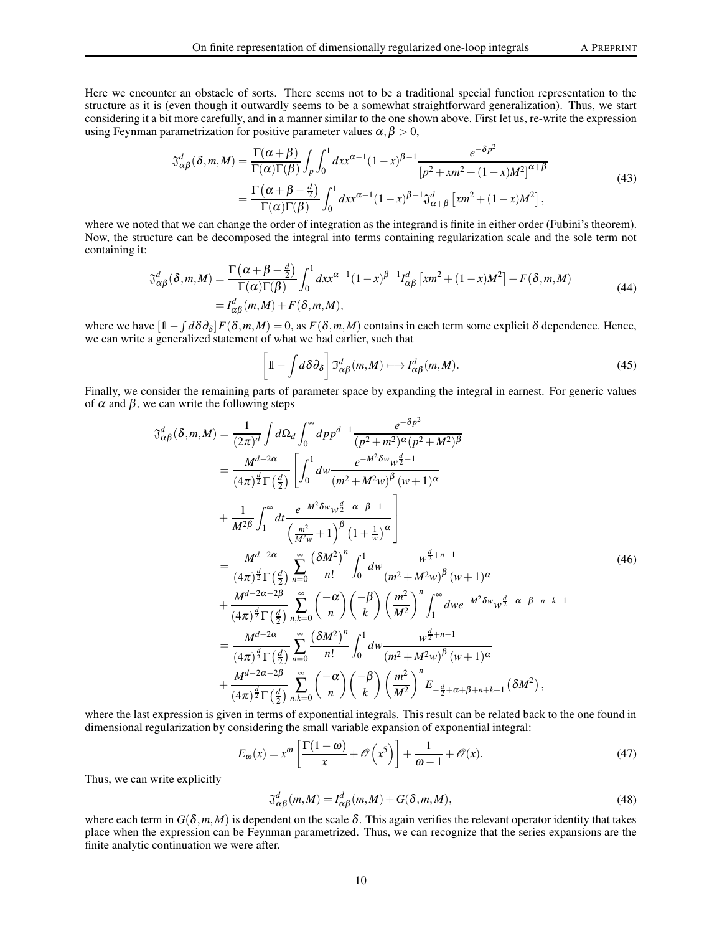Here we encounter an obstacle of sorts. There seems not to be a traditional special function representation to the structure as it is (even though it outwardly seems to be a somewhat straightforward generalization). Thus, we start considering it a bit more carefully, and in a manner similar to the one shown above. First let us, re-write the expression using Feynman parametrization for positive parameter values  $\alpha, \beta > 0$ ,

$$
\mathfrak{J}^{d}_{\alpha\beta}(\delta, m, M) = \frac{\Gamma(\alpha + \beta)}{\Gamma(\alpha)\Gamma(\beta)} \int_{p} \int_{0}^{1} dx x^{\alpha - 1} (1 - x)^{\beta - 1} \frac{e^{-\delta p^{2}}}{[p^{2} + x m^{2} + (1 - x) M^{2}]^{\alpha + \beta}}
$$
\n
$$
= \frac{\Gamma(\alpha + \beta - \frac{d}{2})}{\Gamma(\alpha)\Gamma(\beta)} \int_{0}^{1} dx x^{\alpha - 1} (1 - x)^{\beta - 1} \mathfrak{J}^{d}_{\alpha + \beta} [x m^{2} + (1 - x) M^{2}], \qquad (43)
$$

where we noted that we can change the order of integration as the integrand is finite in either order (Fubini's theorem). Now, the structure can be decomposed the integral into terms containing regularization scale and the sole term not containing it:

$$
\mathfrak{J}^{d}_{\alpha\beta}(\delta, m, M) = \frac{\Gamma\left(\alpha + \beta - \frac{d}{2}\right)}{\Gamma(\alpha)\Gamma(\beta)} \int_{0}^{1} dx x^{\alpha - 1} (1 - x)^{\beta - 1} I^{d}_{\alpha\beta} \left[ x m^{2} + (1 - x) M^{2} \right] + F(\delta, m, M)
$$
\n
$$
= I^{d}_{\alpha\beta}(m, M) + F(\delta, m, M), \tag{44}
$$

where we have  $\left[1 - \int d\delta\partial_{\delta}\right] F(\delta, m, M) = 0$ , as  $F(\delta, m, M)$  contains in each term some explicit  $\delta$  dependence. Hence, we can write a generalized statement of what we had earlier, such that

$$
\left[1 - \int d\delta \partial_{\delta}\right] \mathfrak{I}^{d}_{\alpha\beta}(m, M) \longmapsto I^{d}_{\alpha\beta}(m, M). \tag{45}
$$

Finally, we consider the remaining parts of parameter space by expanding the integral in earnest. For generic values of  $\alpha$  and  $\beta$ , we can write the following steps

$$
\mathfrak{J}_{\alpha\beta}^{d}(\delta, m, M) = \frac{1}{(2\pi)^{d}} \int d\Omega_{d} \int_{0}^{\infty} dp p^{d-1} \frac{e^{-\delta p^{2}}}{(p^{2}+m^{2})^{\alpha}(p^{2}+M^{2})^{\beta}} \n= \frac{M^{d-2\alpha}}{(4\pi)^{\frac{d}{2}} \Gamma(\frac{d}{2})} \left[ \int_{0}^{1} dw \frac{e^{-M^{2}\delta w} w^{\frac{d}{2}-1}}{(m^{2}+M^{2}w)^{\beta}(w+1)^{\alpha}} \n+ \frac{1}{M^{2\beta}} \int_{1}^{\infty} dt \frac{e^{-M^{2}\delta w} w^{\frac{d}{2}-\alpha-\beta-1}}{\left(\frac{m^{2}}{M^{2}w}+1\right)^{\beta}(1+\frac{1}{w})^{\alpha}} \right] \n= \frac{M^{d-2\alpha}}{(4\pi)^{\frac{d}{2}} \Gamma(\frac{d}{2})} \sum_{n=0}^{\infty} \frac{(\delta M^{2})^{n}}{n!} \int_{0}^{1} dw \frac{w^{\frac{d}{2}+n-1}}{(m^{2}+M^{2}w)^{\beta}(w+1)^{\alpha}} \n+ \frac{M^{d-2\alpha-2\beta}}{(4\pi)^{\frac{d}{2}} \Gamma(\frac{d}{2})} \sum_{n,k=0}^{\infty} \left(-\alpha \right) \left(-\beta \right) \left(\frac{m^{2}}{M^{2}}\right)^{n} \int_{1}^{\infty} dw e^{-M^{2}\delta w} w^{\frac{d}{2}-\alpha-\beta-n-k-1} \n= \frac{M^{d-2\alpha}}{(4\pi)^{\frac{d}{2}} \Gamma(\frac{d}{2})} \sum_{n=0}^{\infty} \frac{(\delta M^{2})^{n}}{n!} \int_{0}^{1} dw \frac{w^{\frac{d}{2}+n-1}}{(m^{2}+M^{2}w)^{\beta}(w+1)^{\alpha}} \n+ \frac{M^{d-2\alpha-2\beta}}{(4\pi)^{\frac{d}{2}} \Gamma(\frac{d}{2})} \sum_{n,k=0}^{\infty} \left(-\alpha \right) \left(-\beta \right) \left(\frac{m^{2}}{M^{2}}\right)^{n} E_{-\frac{d}{2}+\alpha+\beta+n+k+1}(\delta M^{2
$$

where the last expression is given in terms of exponential integrals. This result can be related back to the one found in dimensional regularization by considering the small variable expansion of exponential integral:

$$
E_{\omega}(x) = x^{\omega} \left[ \frac{\Gamma(1 - \omega)}{x} + \mathcal{O}\left(x^5\right) \right] + \frac{1}{\omega - 1} + \mathcal{O}(x). \tag{47}
$$

Thus, we can write explicitly

$$
\mathfrak{J}_{\alpha\beta}^{d}(m,M) = I_{\alpha\beta}^{d}(m,M) + G(\delta, m,M),
$$
\n(48)

where each term in  $G(\delta, m, M)$  is dependent on the scale  $\delta$ . This again verifies the relevant operator identity that takes place when the expression can be Feynman parametrized. Thus, we can recognize that the series expansions are the finite analytic continuation we were after.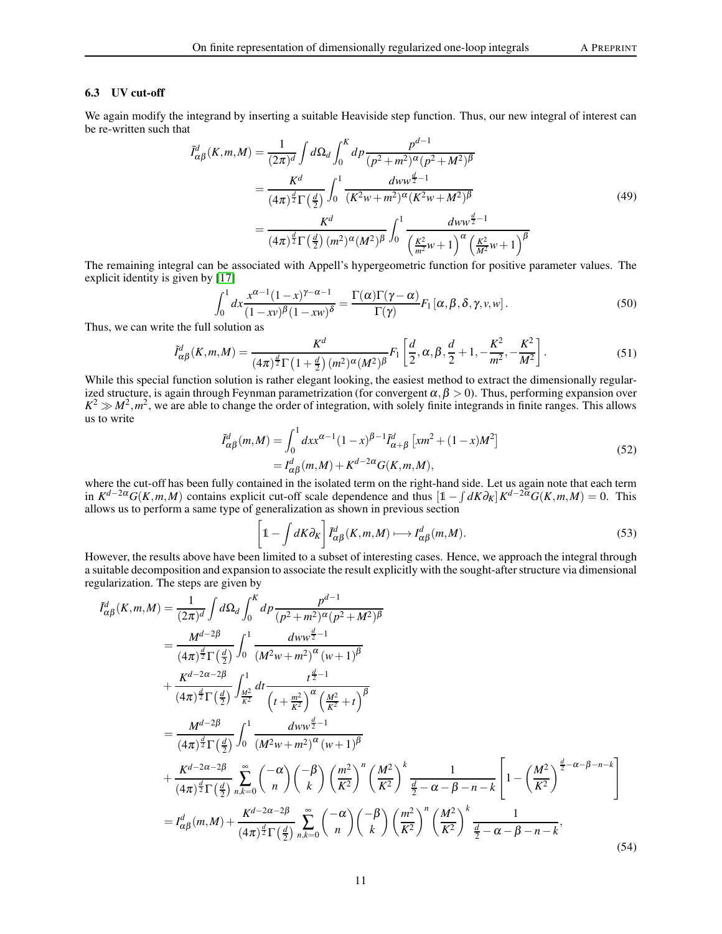## 6.3 UV cut-off

We again modify the integrand by inserting a suitable Heaviside step function. Thus, our new integral of interest can be re-written such that

$$
\tilde{I}_{\alpha\beta}^{d}(K,m,M) = \frac{1}{(2\pi)^{d}} \int d\Omega_{d} \int_{0}^{K} dp \frac{p^{d-1}}{(p^{2}+m^{2})^{\alpha}(p^{2}+M^{2})^{\beta}} \n= \frac{K^{d}}{(4\pi)^{\frac{d}{2}}\Gamma(\frac{d}{2})} \int_{0}^{1} \frac{dww^{\frac{d}{2}-1}}{(K^{2}w+m^{2})^{\alpha}(K^{2}w+M^{2})^{\beta}} \n= \frac{K^{d}}{(4\pi)^{\frac{d}{2}}\Gamma(\frac{d}{2}) (m^{2})^{\alpha}(M^{2})^{\beta}} \int_{0}^{1} \frac{dww^{\frac{d}{2}-1}}{(\frac{K^{2}}{m^{2}}w+1)^{\alpha} (\frac{K^{2}}{M^{2}}w+1)^{\beta}}
$$
\n(49)

The remaining integral can be associated with Appell's hypergeometric function for positive parameter values. The explicit identity is given by [\[17\]](#page-18-11)

$$
\int_0^1 dx \frac{x^{\alpha-1}(1-x)^{\gamma-\alpha-1}}{(1-x\nu)^{\beta}(1-x\nu)^{\delta}} = \frac{\Gamma(\alpha)\Gamma(\gamma-\alpha)}{\Gamma(\gamma)} F_1[\alpha,\beta,\delta,\gamma,\nu,\nu].
$$
\n(50)

Thus, we can write the full solution as

$$
\tilde{I}^{d}_{\alpha\beta}(K,m,M) = \frac{K^{d}}{(4\pi)^{\frac{d}{2}}\Gamma(1+\frac{d}{2})(m^{2})^{\alpha}(M^{2})^{\beta}}F_{1}\left[\frac{d}{2},\alpha,\beta,\frac{d}{2}+1,-\frac{K^{2}}{m^{2}},-\frac{K^{2}}{M^{2}}\right].
$$
\n(51)

While this special function solution is rather elegant looking, the easiest method to extract the dimensionally regularized structure, is again through Feynman parametrization (for convergent  $\alpha, \beta > 0$ ). Thus, performing expansion over  $K^2 \gg M^2, m^2$ , we are able to change the order of integration, with solely finite integrands in finite ranges. This allows us to write

$$
\tilde{I}_{\alpha\beta}^{d}(m,M) = \int_{0}^{1} dx x^{\alpha-1} (1-x)^{\beta-1} \tilde{I}_{\alpha+\beta}^{d} [x m^{2} + (1-x) M^{2}]
$$
  
=  $I_{\alpha\beta}^{d}(m,M) + K^{d-2\alpha} G(K,m,M),$  (52)

where the cut-off has been fully contained in the isolated term on the right-hand side. Let us again note that each term in  $K^{d-2\alpha}G(K,m,M)$  contains explicit cut-off scale dependence and thus  $[\mathbb{1}-\int dK\partial_K]K^{d-2\alpha}G(K,m,M)=0$ . This allows us to perform a same type of generalization as shown in previous section

$$
\left[1 - \int dK \partial_K\right] \tilde{I}_{\alpha\beta}^d(K, m, M) \longmapsto I_{\alpha\beta}^d(m, M). \tag{53}
$$

However, the results above have been limited to a subset of interesting cases. Hence, we approach the integral through a suitable decomposition and expansion to associate the result explicitly with the sought-after structure via dimensional regularization. The steps are given by

$$
\tilde{I}_{\alpha\beta}^{d}(K,m,M) = \frac{1}{(2\pi)^{d}} \int d\Omega_{d} \int_{0}^{K} dp \frac{p^{d-1}}{(p^{2}+m^{2})^{\alpha}(p^{2}+M^{2})^{\beta}} \n= \frac{M^{d-2\beta}}{(4\pi)^{\frac{d}{2}}\Gamma(\frac{d}{2})} \int_{0}^{1} \frac{dw w^{\frac{d}{2}-1}}{(M^{2}w+m^{2})^{\alpha}(w+1)^{\beta}} \n+ \frac{K^{d-2\alpha-2\beta}}{(4\pi)^{\frac{d}{2}}\Gamma(\frac{d}{2})} \int_{\frac{M^{2}}{K^{2}}}^{1} dt \frac{t^{\frac{d}{2}-1}}{(t+\frac{m^{2}}{K^{2}})^{\alpha}(\frac{M^{2}}{K^{2}}+t)^{\beta}} \n= \frac{M^{d-2\beta}}{(4\pi)^{\frac{d}{2}}\Gamma(\frac{d}{2})} \int_{0}^{1} \frac{dw w^{\frac{d}{2}-1}}{(M^{2}w+m^{2})^{\alpha}(w+1)^{\beta}} \n+ \frac{K^{d-2\alpha-2\beta}}{(4\pi)^{\frac{d}{2}}\Gamma(\frac{d}{2})} \sum_{n,k=0}^{\infty} {\binom{-\alpha}{n}} {\binom{-\beta}{k}} {\binom{m^{2}}{K^{2}}}^{n} {\binom{M^{2}}{K^{2}}} \frac{k}{\frac{d}{2}-\alpha-\beta-n-k} \left[1-{\binom{M^{2}}{K^{2}}}^{q^{2}-\alpha-\beta-n-k} \right] \n= I_{\alpha\beta}^{d}(m,M) + \frac{K^{d-2\alpha-2\beta}}{(4\pi)^{\frac{d}{2}}\Gamma(\frac{d}{2})} \sum_{n,k=0}^{\infty} {\binom{-\alpha}{n}} {\binom{-\beta}{k}} {\binom{m^{2}}{K^{2}}}^{n} {\binom{M^{2}}{K^{2}}}^{k} \frac{1}{\frac{d}{2}-\alpha-\beta-n-k},
$$
\n(54)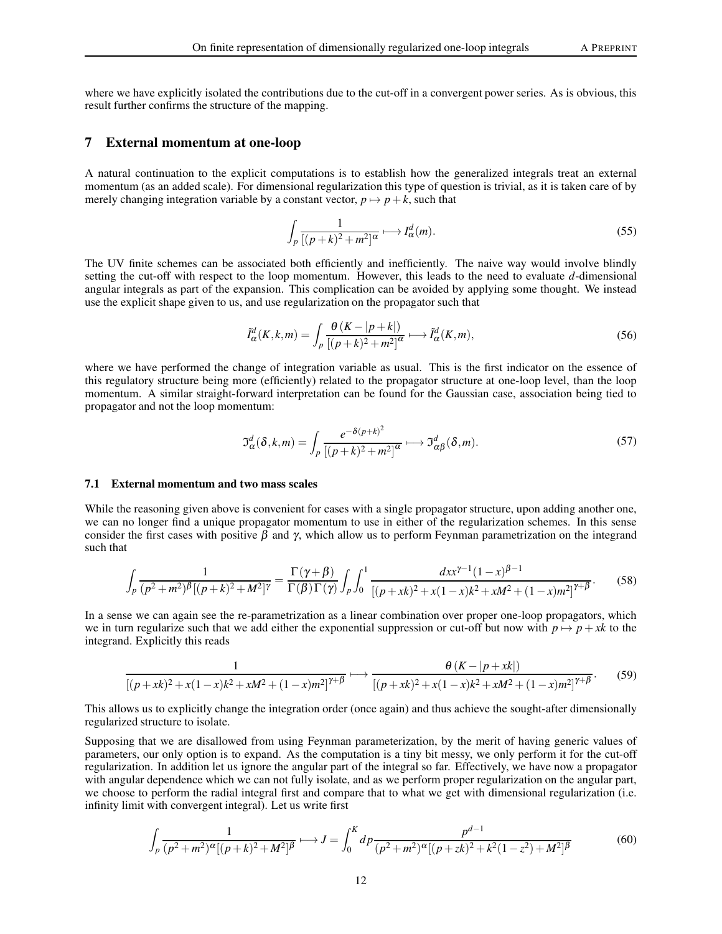where we have explicitly isolated the contributions due to the cut-off in a convergent power series. As is obvious, this result further confirms the structure of the mapping.

## 7 External momentum at one-loop

A natural continuation to the explicit computations is to establish how the generalized integrals treat an external momentum (as an added scale). For dimensional regularization this type of question is trivial, as it is taken care of by merely changing integration variable by a constant vector,  $p \mapsto p + k$ , such that

$$
\int_{p} \frac{1}{[(p+k)^2 + m^2]^{\alpha}} \longmapsto I_{\alpha}^d(m). \tag{55}
$$

The UV finite schemes can be associated both efficiently and inefficiently. The naive way would involve blindly setting the cut-off with respect to the loop momentum. However, this leads to the need to evaluate *d*-dimensional angular integrals as part of the expansion. This complication can be avoided by applying some thought. We instead use the explicit shape given to us, and use regularization on the propagator such that

$$
\tilde{I}_{\alpha}^{d}(K,k,m) = \int_{p} \frac{\theta(K - |p+k|)}{[(p+k)^{2} + m^{2}]^{\alpha}} \longrightarrow \tilde{I}_{\alpha}^{d}(K,m),
$$
\n(56)

where we have performed the change of integration variable as usual. This is the first indicator on the essence of this regulatory structure being more (efficiently) related to the propagator structure at one-loop level, than the loop momentum. A similar straight-forward interpretation can be found for the Gaussian case, association being tied to propagator and not the loop momentum:

$$
\mathfrak{I}_{\alpha}^{d}(\delta, k, m) = \int_{p} \frac{e^{-\delta(p+k)^{2}}}{[(p+k)^{2}+m^{2}]^{\alpha}} \longrightarrow \mathfrak{I}_{\alpha\beta}^{d}(\delta, m). \tag{57}
$$

#### 7.1 External momentum and two mass scales

While the reasoning given above is convenient for cases with a single propagator structure, upon adding another one, we can no longer find a unique propagator momentum to use in either of the regularization schemes. In this sense consider the first cases with positive  $\beta$  and  $\gamma$ , which allow us to perform Feynman parametrization on the integrand such that

$$
\int_{p} \frac{1}{(p^2 + m^2)^{\beta} [(p+k)^2 + M^2]^{\gamma}} = \frac{\Gamma(\gamma + \beta)}{\Gamma(\beta)\Gamma(\gamma)} \int_{p} \int_{0}^{1} \frac{dx x^{\gamma - 1} (1 - x)^{\beta - 1}}{[(p+ x k)^2 + x(1 - x)k^2 + xM^2 + (1 - x)m^2]^{\gamma + \beta}}.
$$
(58)

In a sense we can again see the re-parametrization as a linear combination over proper one-loop propagators, which we in turn regularize such that we add either the exponential suppression or cut-off but now with  $p \mapsto p + xk$  to the integrand. Explicitly this reads

$$
\frac{1}{[(p+sk)^2 + x(1-x)k^2 + xM^2 + (1-x)m^2]^{\gamma+\beta}} \longmapsto \frac{\theta (K - |p+sk|)}{[(p+sk)^2 + x(1-x)k^2 + xM^2 + (1-x)m^2]^{\gamma+\beta}}.
$$
(59)

This allows us to explicitly change the integration order (once again) and thus achieve the sought-after dimensionally regularized structure to isolate.

Supposing that we are disallowed from using Feynman parameterization, by the merit of having generic values of parameters, our only option is to expand. As the computation is a tiny bit messy, we only perform it for the cut-off regularization. In addition let us ignore the angular part of the integral so far. Effectively, we have now a propagator with angular dependence which we can not fully isolate, and as we perform proper regularization on the angular part, we choose to perform the radial integral first and compare that to what we get with dimensional regularization (i.e. infinity limit with convergent integral). Let us write first

$$
\int_{p} \frac{1}{(p^2 + m^2)^{\alpha} [(p+k)^2 + M^2]^{\beta}} \longmapsto J = \int_0^K dp \frac{p^{d-1}}{(p^2 + m^2)^{\alpha} [(p+k)^2 + k^2(1-z^2) + M^2]^{\beta}}
$$
(60)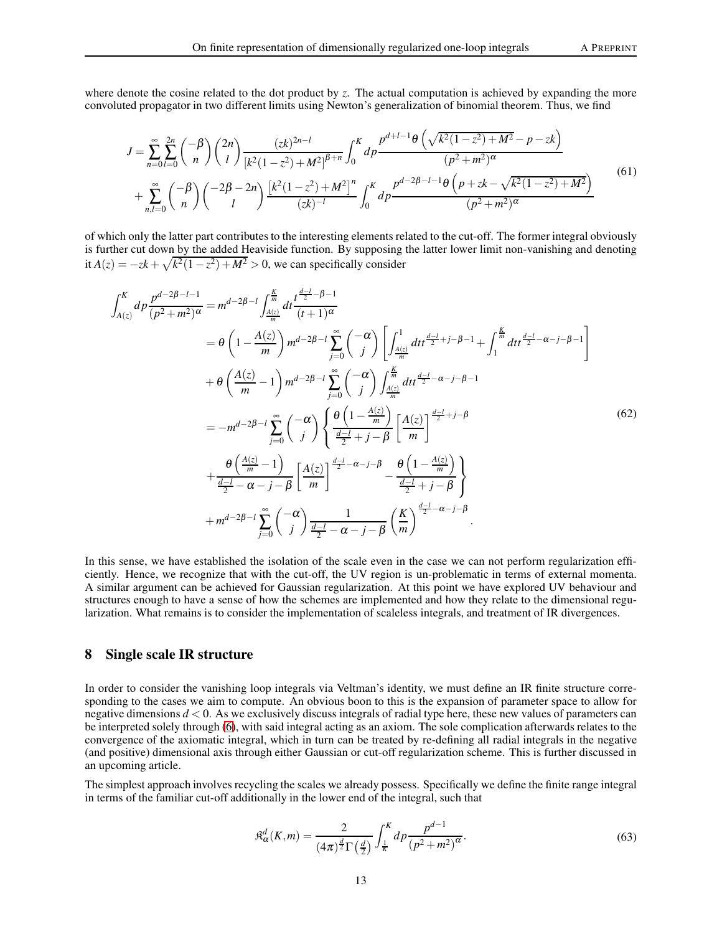where denote the cosine related to the dot product by *z*. The actual computation is achieved by expanding the more convoluted propagator in two different limits using Newton's generalization of binomial theorem. Thus, we find

$$
J = \sum_{n=0}^{\infty} \sum_{l=0}^{2n} {\binom{-\beta}{n}} {\binom{2n}{l}} \frac{(zk)^{2n-l}}{[k^2(1-z^2)+M^2]^{\beta+n}} \int_0^K dp \frac{p^{d+l-1}\theta\left(\sqrt{k^2(1-z^2)+M^2}-p-zk\right)}{(p^2+m^2)^{\alpha}}
$$
  
+ 
$$
\sum_{n,l=0}^{\infty} {\binom{-\beta}{n}} {\binom{-2\beta-2n}{l}} \frac{[k^2(1-z^2)+M^2]^n}{(zk)^{-l}} \int_0^K dp \frac{p^{d-2\beta-l-1}\theta\left(p+zk-\sqrt{k^2(1-z^2)+M^2}\right)}{(p^2+m^2)^{\alpha}}
$$
(61)

of which only the latter part contributes to the interesting elements related to the cut-off. The former integral obviously is further cut down by the added Heaviside function. By supposing the latter lower limit non-vanishing and denoting it  $A(z) = -zk + \sqrt{k^2(1-z^2) + M^2} > 0$ , we can specifically consider

$$
\int_{A(z)}^{K} dp \frac{p^{d-2\beta-l-1}}{(p^2+m^2)^{\alpha}} = m^{d-2\beta-l} \int_{\frac{A(z)}{m}}^{\frac{K}{m}} dt \frac{t^{\frac{d-1}{2}-\beta-1}}{(t+1)^{\alpha}}
$$
  
\n
$$
= \theta \left(1 - \frac{A(z)}{m}\right) m^{d-2\beta-l} \sum_{j=0}^{\infty} {\binom{-\alpha}{j}} \left[ \int_{\frac{A(z)}{m}}^{1} dt \frac{t^{\frac{d-1}{2}+j-\beta-1}}{t^{\frac{d-1}{2}-\alpha-j-\beta-1}} + \int_{1}^{\frac{K}{m}} dt \frac{t^{\frac{d-1}{2}-\alpha-j-\beta-1}}{t^{\frac{d-1}{2}-\alpha-j-\beta-1}} \right]
$$
  
\n
$$
+ \theta \left(\frac{A(z)}{m} - 1\right) m^{d-2\beta-l} \sum_{j=0}^{\infty} {\binom{-\alpha}{j}} \left\{ \frac{\theta \left(1 - \frac{A(z)}{m}\right)}{\frac{d-1}{2} + j - \beta} \left[ \frac{A(z)}{m} \right]^{\frac{d-1}{2}+j-\beta} + \frac{\theta \left(\frac{A(z)}{m} - 1\right)}{\frac{d-1}{2} - \alpha - j - \beta} \left[ \frac{A(z)}{m} \right]^{\frac{d-1}{2} - \alpha - j - \beta} - \frac{\theta \left(1 - \frac{A(z)}{m}\right)}{\frac{d-1}{2} + j - \beta} \right\}
$$
  
\n
$$
+ m^{d-2\beta-l} \sum_{j=0}^{\infty} {\binom{-\alpha}{j}} \frac{1}{\frac{d-1}{2} - \alpha - j - \beta} {\binom{K}{m}}^{\frac{d-1}{2} - \alpha - j - \beta} .
$$
  
\n(62)

In this sense, we have established the isolation of the scale even in the case we can not perform regularization efficiently. Hence, we recognize that with the cut-off, the UV region is un-problematic in terms of external momenta. A similar argument can be achieved for Gaussian regularization. At this point we have explored UV behaviour and structures enough to have a sense of how the schemes are implemented and how they relate to the dimensional regularization. What remains is to consider the implementation of scaleless integrals, and treatment of IR divergences.

# 8 Single scale IR structure

In order to consider the vanishing loop integrals via Veltman's identity, we must define an IR finite structure corresponding to the cases we aim to compute. An obvious boon to this is the expansion of parameter space to allow for negative dimensions  $d < 0$ . As we exclusively discuss integrals of radial type here, these new values of parameters can be interpreted solely through [\(6\)](#page-1-1), with said integral acting as an axiom. The sole complication afterwards relates to the convergence of the axiomatic integral, which in turn can be treated by re-defining all radial integrals in the negative (and positive) dimensional axis through either Gaussian or cut-off regularization scheme. This is further discussed in an upcoming article.

The simplest approach involves recycling the scales we already possess. Specifically we define the finite range integral in terms of the familiar cut-off additionally in the lower end of the integral, such that

$$
\mathfrak{K}_{\alpha}^{d}(K,m) = \frac{2}{(4\pi)^{\frac{d}{2}}\Gamma(\frac{d}{2})} \int_{\frac{1}{K}}^{K} dp \frac{p^{d-1}}{(p^2 + m^2)^{\alpha}}.
$$
\n(63)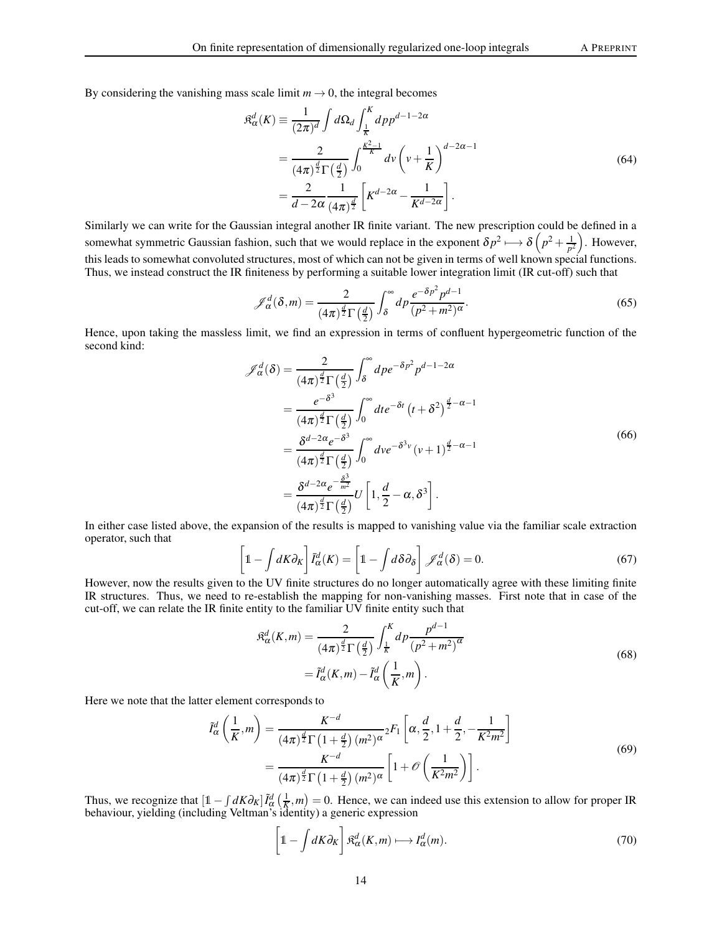By considering the vanishing mass scale limit  $m \to 0$ , the integral becomes

J *<sup>d</sup>*

$$
\mathfrak{K}_{\alpha}^{d}(K) \equiv \frac{1}{(2\pi)^{d}} \int d\Omega_{d} \int_{\frac{1}{K}}^{K} dp p^{d-1-2\alpha}
$$
\n
$$
= \frac{2}{(4\pi)^{\frac{d}{2}} \Gamma(\frac{d}{2})} \int_{0}^{\frac{K^{2}-1}{K}} dv \left(v + \frac{1}{K}\right)^{d-2\alpha-1}
$$
\n
$$
= \frac{2}{d-2\alpha} \frac{1}{(4\pi)^{\frac{d}{2}}} \left[K^{d-2\alpha} - \frac{1}{K^{d-2\alpha}}\right].
$$
\n(64)

Similarly we can write for the Gaussian integral another IR finite variant. The new prescription could be defined in a somewhat symmetric Gaussian fashion, such that we would replace in the exponent  $\delta p^2 \mapsto \delta \left( p^2 + \frac{1}{p^2} \right)$  $\frac{1}{p^2}$ . However, this leads to somewhat convoluted structures, most of which can not be given in terms of well known special functions. Thus, we instead construct the IR finiteness by performing a suitable lower integration limit (IR cut-off) such that

$$
\mathscr{J}_{\alpha}^{d}(\delta, m) = \frac{2}{(4\pi)^{\frac{d}{2}}\Gamma(\frac{d}{2})} \int_{\delta}^{\infty} dp \frac{e^{-\delta p^{2}} p^{d-1}}{(p^{2}+m^{2})^{\alpha}}.
$$
\n(65)

Hence, upon taking the massless limit, we find an expression in terms of confluent hypergeometric function of the second kind:

$$
\mathscr{J}_{\alpha}^{d}(\delta) = \frac{2}{(4\pi)^{\frac{d}{2}}\Gamma(\frac{d}{2})} \int_{\delta}^{\infty} d\rho e^{-\delta \rho^{2}} \rho^{d-1-2\alpha}
$$
\n
$$
= \frac{e^{-\delta^{3}}}{(4\pi)^{\frac{d}{2}}\Gamma(\frac{d}{2})} \int_{0}^{\infty} dt e^{-\delta t} (t + \delta^{2})^{\frac{d}{2}-\alpha-1}
$$
\n
$$
= \frac{\delta^{d-2\alpha} e^{-\delta^{3}}}{(4\pi)^{\frac{d}{2}}\Gamma(\frac{d}{2})} \int_{0}^{\infty} d\nu e^{-\delta^{3} \nu} (\nu + 1)^{\frac{d}{2}-\alpha-1}
$$
\n
$$
= \frac{\delta^{d-2\alpha} e^{-\frac{\delta^{3}}{m^{2}}}}{(4\pi)^{\frac{d}{2}}\Gamma(\frac{d}{2})} U\left[1, \frac{d}{2}-\alpha, \delta^{3}\right].
$$
\n(66)

In either case listed above, the expansion of the results is mapped to vanishing value via the familiar scale extraction operator, such that

$$
\left[1 - \int dK \partial_K\right] \bar{I}_{\alpha}^d(K) = \left[1 - \int d\delta \partial_{\delta}\right] \mathcal{J}_{\alpha}^d(\delta) = 0. \tag{67}
$$

However, now the results given to the UV finite structures do no longer automatically agree with these limiting finite IR structures. Thus, we need to re-establish the mapping for non-vanishing masses. First note that in case of the cut-off, we can relate the IR finite entity to the familiar UV finite entity such that

$$
\mathfrak{K}_{\alpha}^{d}(K,m) = \frac{2}{(4\pi)^{\frac{d}{2}}\Gamma(\frac{d}{2})} \int_{\frac{1}{K}}^{K} dp \frac{p^{d-1}}{(p^{2}+m^{2})^{\alpha}}
$$
\n
$$
= \tilde{I}_{\alpha}^{d}(K,m) - \tilde{I}_{\alpha}^{d}\left(\frac{1}{K},m\right).
$$
\n(68)

Here we note that the latter element corresponds to

$$
\tilde{I}_{\alpha}^{d}\left(\frac{1}{K},m\right) = \frac{K^{-d}}{(4\pi)^{\frac{d}{2}}\Gamma\left(1+\frac{d}{2}\right)(m^{2})^{\alpha}} {}_{2}F_{1}\left[\alpha,\frac{d}{2},1+\frac{d}{2},-\frac{1}{K^{2}m^{2}}\right] \\
= \frac{K^{-d}}{(4\pi)^{\frac{d}{2}}\Gamma\left(1+\frac{d}{2}\right)(m^{2})^{\alpha}} \left[1+\mathcal{O}\left(\frac{1}{K^{2}m^{2}}\right)\right].
$$
\n(69)

Thus, we recognize that  $\left[\mathbb{1} - \int dK \partial_K\right] \tilde{I}_{\alpha}^d\left(\frac{1}{K}, m\right) = 0$ . Hence, we can indeed use this extension to allow for proper IR behaviour, yielding (including Veltman's identity) a generic expression

$$
\left[1 - \int dK \partial_K\right] \mathfrak{K}^d_{\alpha}(K, m) \longmapsto I^d_{\alpha}(m). \tag{70}
$$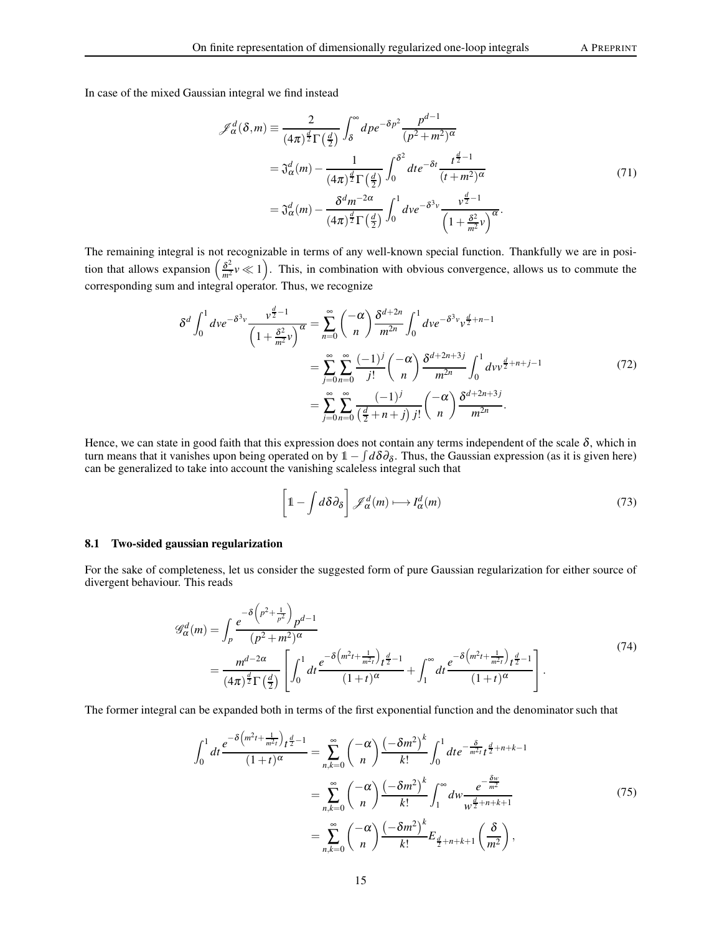In case of the mixed Gaussian integral we find instead

$$
\mathcal{J}_{\alpha}^{d}(\delta, m) \equiv \frac{2}{(4\pi)^{\frac{d}{2}}\Gamma(\frac{d}{2})} \int_{\delta}^{\infty} d\rho e^{-\delta p^{2}} \frac{p^{d-1}}{(p^{2}+m^{2})^{\alpha}}
$$

$$
= \mathfrak{J}_{\alpha}^{d}(m) - \frac{1}{(4\pi)^{\frac{d}{2}}\Gamma(\frac{d}{2})} \int_{0}^{\delta^{2}} dte^{-\delta t} \frac{t^{\frac{d}{2}-1}}{(t+m^{2})^{\alpha}}
$$

$$
= \mathfrak{J}_{\alpha}^{d}(m) - \frac{\delta^{d}m^{-2\alpha}}{(4\pi)^{\frac{d}{2}}\Gamma(\frac{d}{2})} \int_{0}^{1} d\nu e^{-\delta^{3} \nu} \frac{\nu^{\frac{d}{2}-1}}{\left(1+\frac{\delta^{2}}{m^{2}}\nu\right)^{\alpha}}.
$$
(71)

The remaining integral is not recognizable in terms of any well-known special function. Thankfully we are in position that allows expansion  $\left(\frac{\delta^2}{m^2}v \ll 1\right)$ . This, in combination with obvious convergence, allows us to commute the corresponding sum and integral operator. Thus, we recognize

$$
\delta^{d} \int_{0}^{1} dve^{-\delta^{3}v} \frac{v^{\frac{d}{2}-1}}{\left(1+\frac{\delta^{2}}{m^{2}}v\right)^{\alpha}} = \sum_{n=0}^{\infty} {\binom{-\alpha}{n}} \frac{\delta^{d+2n}}{m^{2n}} \int_{0}^{1} dve^{-\delta^{3}v} v^{\frac{d}{2}+n-1}
$$

$$
= \sum_{j=0}^{\infty} \sum_{n=0}^{\infty} \frac{(-1)^{j}}{j!} {\binom{-\alpha}{n}} \frac{\delta^{d+2n+3j}}{m^{2n}} \int_{0}^{1} dvv^{\frac{d}{2}+n+j-1}
$$

$$
= \sum_{j=0}^{\infty} \sum_{n=0}^{\infty} \frac{(-1)^{j}}{(\frac{d}{2}+n+j)j!} {\binom{-\alpha}{n}} \frac{\delta^{d+2n+3j}}{m^{2n}}.
$$
(72)

Hence, we can state in good faith that this expression does not contain any terms independent of the scale  $\delta$ , which in turn means that it vanishes upon being operated on by  $1 - \int d\delta\theta_\delta$ . Thus, the Gaussian expression (as it is given here) can be generalized to take into account the vanishing scaleless integral such that

$$
\left[1 - \int d\delta \partial_{\delta}\right] \mathcal{J}_{\alpha}^{d}(m) \longmapsto I_{\alpha}^{d}(m) \tag{73}
$$

#### 8.1 Two-sided gaussian regularization

For the sake of completeness, let us consider the suggested form of pure Gaussian regularization for either source of divergent behaviour. This reads

$$
\mathcal{G}_{\alpha}^{d}(m) = \int_{p} \frac{e^{-\delta \left(p^{2} + \frac{1}{p^{2}}\right)} p^{d-1}}{(p^{2} + m^{2})^{\alpha}} \\
= \frac{m^{d-2\alpha}}{(4\pi)^{\frac{d}{2}} \Gamma\left(\frac{d}{2}\right)} \left[ \int_{0}^{1} dt \frac{e^{-\delta \left(m^{2}t + \frac{1}{m^{2}t}\right)} t^{\frac{d}{2} - 1}}{(1 + t)^{\alpha}} + \int_{1}^{\infty} dt \frac{e^{-\delta \left(m^{2}t + \frac{1}{m^{2}t}\right)} t^{\frac{d}{2} - 1}}{(1 + t)^{\alpha}} \right].
$$
\n(74)

The former integral can be expanded both in terms of the first exponential function and the denominator such that

$$
\int_{0}^{1} dt \frac{e^{-\delta \left(m^{2}t + \frac{1}{m^{2}t}\right)} t^{\frac{d}{2}-1}}{(1+t)^{\alpha}} = \sum_{n,k=0}^{\infty} {\binom{-\alpha}{n}} \frac{\left(-\delta m^{2}\right)^{k}}{k!} \int_{0}^{1} dt e^{-\frac{\delta}{m^{2}t}} t^{\frac{d}{2}+n+k-1}
$$

$$
= \sum_{n,k=0}^{\infty} {\binom{-\alpha}{n}} \frac{\left(-\delta m^{2}\right)^{k}}{k!} \int_{1}^{\infty} dw \frac{e^{-\frac{\delta w}{m^{2}}}}{w^{\frac{d}{2}+n+k+1}}
$$
(75)
$$
= \sum_{n,k=0}^{\infty} {\binom{-\alpha}{n}} \frac{\left(-\delta m^{2}\right)^{k}}{k!} E_{\frac{d}{2}+n+k+1} {\binom{\delta}{m^{2}}},
$$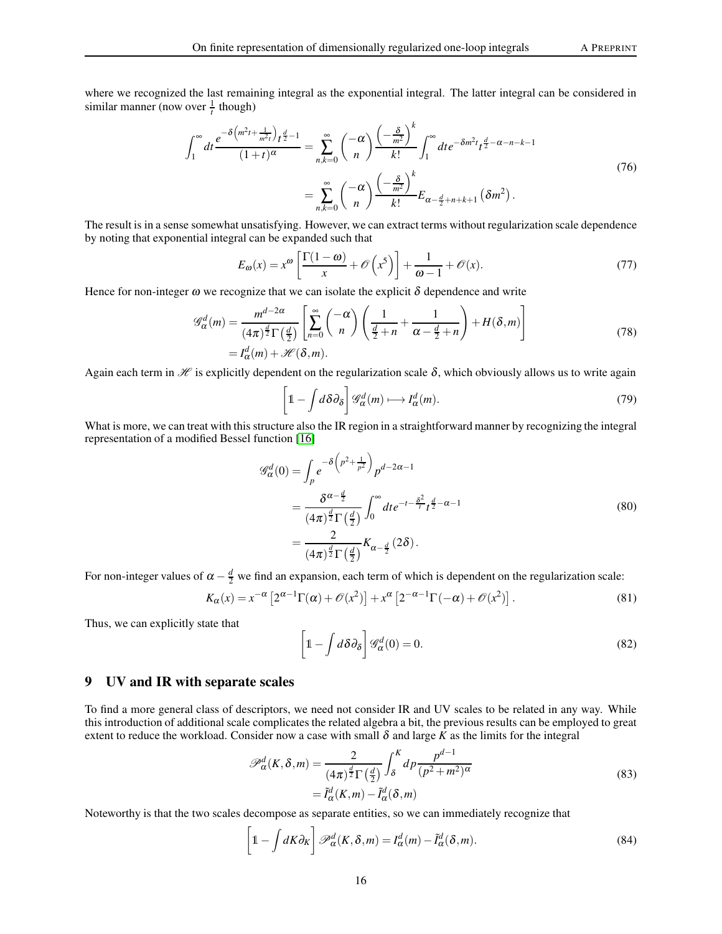where we recognized the last remaining integral as the exponential integral. The latter integral can be considered in similar manner (now over  $\frac{1}{t}$  though)

$$
\int_{1}^{\infty} dt \frac{e^{-\delta\left(m^{2}t + \frac{1}{m^{2}t}\right)} t^{\frac{d}{2}-1}}{(1+t)^{\alpha}} = \sum_{n,k=0}^{\infty} {\binom{-\alpha}{n}} \frac{\left(-\frac{\delta}{m^{2}}\right)^{k}}{k!} \int_{1}^{\infty} dt e^{-\delta m^{2}t} t^{\frac{d}{2}-\alpha-n-k-1}
$$
  

$$
= \sum_{n,k=0}^{\infty} {\binom{-\alpha}{n}} \frac{\left(-\frac{\delta}{m^{2}}\right)^{k}}{k!} E_{\alpha-\frac{d}{2}+n+k+1} \left(\delta m^{2}\right).
$$
 (76)

The result is in a sense somewhat unsatisfying. However, we can extract terms without regularization scale dependence by noting that exponential integral can be expanded such that

$$
E_{\omega}(x) = x^{\omega} \left[ \frac{\Gamma(1 - \omega)}{x} + \mathcal{O}\left(x^5\right) \right] + \frac{1}{\omega - 1} + \mathcal{O}(x). \tag{77}
$$

Hence for non-integer  $\omega$  we recognize that we can isolate the explicit  $\delta$  dependence and write

$$
\mathcal{G}_{\alpha}^{d}(m) = \frac{m^{d-2\alpha}}{(4\pi)^{\frac{d}{2}}\Gamma(\frac{d}{2})} \left[ \sum_{n=0}^{\infty} {\binom{-\alpha}{n}} \left( \frac{1}{\frac{d}{2}+n} + \frac{1}{\alpha - \frac{d}{2}+n} \right) + H(\delta, m) \right]
$$
  
=  $I_{\alpha}^{d}(m) + \mathcal{H}(\delta, m).$  (78)

Again each term in  $\mathcal H$  is explicitly dependent on the regularization scale  $\delta$ , which obviously allows us to write again

$$
\left[1 - \int d\delta \partial_{\delta}\right] \mathcal{G}_{\alpha}^{d}(m) \longmapsto I_{\alpha}^{d}(m). \tag{79}
$$

What is more, we can treat with this structure also the IR region in a straightforward manner by recognizing the integral representation of a modified Bessel function [\[16\]](#page-18-10)

$$
\mathscr{G}_{\alpha}^{d}(0) = \int_{p} e^{-\delta \left(p^{2} + \frac{1}{p^{2}}\right)} p^{d-2\alpha - 1}
$$
\n
$$
= \frac{\delta^{\alpha - \frac{d}{2}}}{(4\pi)^{\frac{d}{2}} \Gamma\left(\frac{d}{2}\right)} \int_{0}^{\infty} dt e^{-t - \frac{\delta^{2}}{t} t^{\frac{d}{2} - \alpha - 1}}
$$
\n
$$
= \frac{2}{(4\pi)^{\frac{d}{2}} \Gamma\left(\frac{d}{2}\right)} K_{\alpha - \frac{d}{2}} (2\delta).
$$
\n(80)

For non-integer values of  $\alpha - \frac{d}{2}$  we find an expansion, each term of which is dependent on the regularization scale:

$$
K_{\alpha}(x) = x^{-\alpha} \left[ 2^{\alpha - 1} \Gamma(\alpha) + \mathcal{O}(x^2) \right] + x^{\alpha} \left[ 2^{-\alpha - 1} \Gamma(-\alpha) + \mathcal{O}(x^2) \right]. \tag{81}
$$

Thus, we can explicitly state that

$$
\left[1 - \int d\delta \partial_{\delta}\right] \mathcal{G}_{\alpha}^{d}(0) = 0. \tag{82}
$$

# 9 UV and IR with separate scales

To find a more general class of descriptors, we need not consider IR and UV scales to be related in any way. While this introduction of additional scale complicates the related algebra a bit, the previous results can be employed to great extent to reduce the workload. Consider now a case with small  $\delta$  and large  $K$  as the limits for the integral

$$
\mathscr{P}_{\alpha}^{d}(K,\delta,m) = \frac{2}{(4\pi)^{\frac{d}{2}}\Gamma(\frac{d}{2})} \int_{\delta}^{K} dp \frac{p^{d-1}}{(p^{2}+m^{2})^{\alpha}}
$$
  
=  $\tilde{I}_{\alpha}^{d}(K,m) - \tilde{I}_{\alpha}^{d}(\delta,m)$  (83)

Noteworthy is that the two scales decompose as separate entities, so we can immediately recognize that

$$
\left[1 - \int dK \partial_K\right] \mathcal{P}_{\alpha}^d(K, \delta, m) = I_{\alpha}^d(m) - \tilde{I}_{\alpha}^d(\delta, m). \tag{84}
$$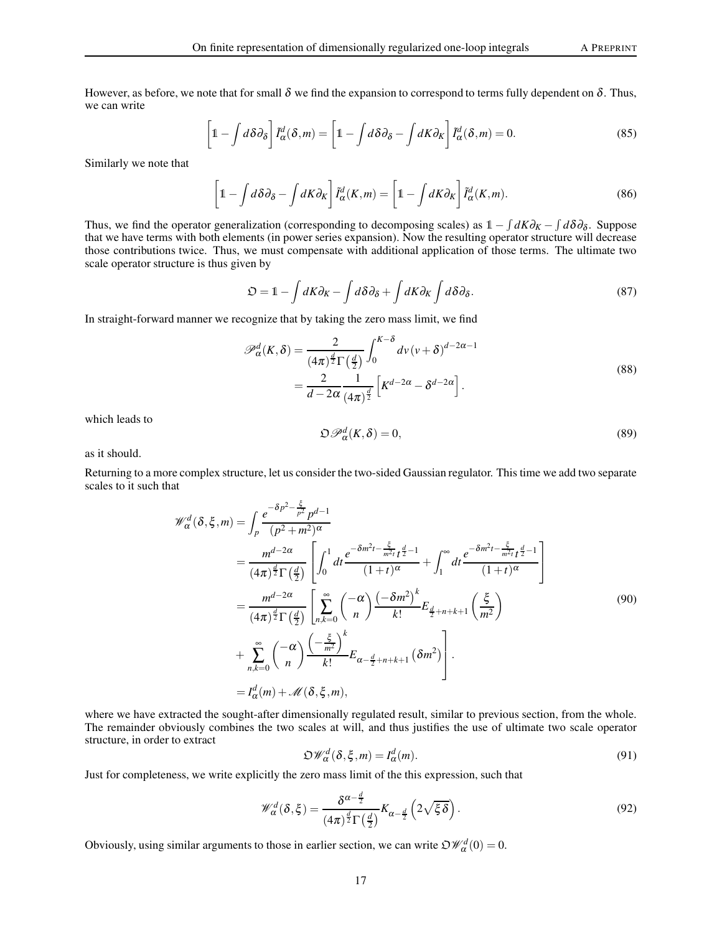However, as before, we note that for small  $\delta$  we find the expansion to correspond to terms fully dependent on  $\delta$ . Thus, we can write

$$
\left[1 - \int d\delta\partial_{\delta}\right] \tilde{I}_{\alpha}^{d}(\delta, m) = \left[1 - \int d\delta\partial_{\delta} - \int dK \partial_{K}\right] \tilde{I}_{\alpha}^{d}(\delta, m) = 0. \tag{85}
$$

Similarly we note that

$$
\left[1 - \int d\delta \partial_{\delta} - \int dK \partial_{K}\right] \tilde{I}_{\alpha}^{d}(K, m) = \left[1 - \int dK \partial_{K}\right] \tilde{I}_{\alpha}^{d}(K, m). \tag{86}
$$

Thus, we find the operator generalization (corresponding to decomposing scales) as  $1 - \int dK\partial_K - \int d\delta\partial_{\delta}$ . Suppose that we have terms with both elements (in power series expansion). Now the resulting operator structure will decrease those contributions twice. Thus, we must compensate with additional application of those terms. The ultimate two scale operator structure is thus given by

$$
\mathfrak{O} = 1 - \int dK \partial_K - \int d\delta \partial_{\delta} + \int dK \partial_K \int d\delta \partial_{\delta}.
$$
 (87)

In straight-forward manner we recognize that by taking the zero mass limit, we find

$$
\mathscr{P}_{\alpha}^{d}(K,\delta) = \frac{2}{(4\pi)^{\frac{d}{2}}\Gamma(\frac{d}{2})} \int_{0}^{K-\delta} dv \, (v+\delta)^{d-2\alpha-1}
$$
\n
$$
= \frac{2}{d-2\alpha} \frac{1}{(4\pi)^{\frac{d}{2}}} \left[K^{d-2\alpha} - \delta^{d-2\alpha}\right].
$$
\n(88)

which leads to

$$
\mathfrak{O}\mathscr{P}_{\alpha}^{d}(K,\delta)=0,\tag{89}
$$

as it should.

Returning to a more complex structure, let us consider the two-sided Gaussian regulator. This time we add two separate scales to it such that

$$
\mathcal{W}_{\alpha}^{d}(\delta, \xi, m) = \int_{p} \frac{e^{-\delta p^{2} - \frac{\xi}{p^{2}}} p^{d-1}}{(p^{2} + m^{2})^{\alpha}}
$$
\n
$$
= \frac{m^{d-2\alpha}}{(4\pi)^{\frac{d}{2}} \Gamma(\frac{d}{2})} \left[ \int_{0}^{1} dt \frac{e^{-\delta m^{2}t - \frac{\xi}{m^{2}t}} t^{\frac{d}{2} - 1}}{(1+t)^{\alpha}} + \int_{1}^{\infty} dt \frac{e^{-\delta m^{2}t - \frac{\xi}{m^{2}t}} t^{\frac{d}{2} - 1}}{(1+t)^{\alpha}} \right]
$$
\n
$$
= \frac{m^{d-2\alpha}}{(4\pi)^{\frac{d}{2}} \Gamma(\frac{d}{2})} \left[ \sum_{n,k=0}^{\infty} {\binom{-\alpha}{n}} \frac{(-\delta m^{2})^{k}}{k!} E_{\frac{d}{2} + n+k+1} \left( \frac{\xi}{m^{2}} \right) + \sum_{n,k=0}^{\infty} {\binom{-\alpha}{n}} \frac{(-\frac{\xi}{m^{2}})^{k}}{k!} E_{\alpha - \frac{d}{2} + n+k+1} (\delta m^{2}) \right]. \tag{90}
$$
\n
$$
= I_{\alpha}^{d}(m) + \mathcal{M}(\delta, \xi, m),
$$

where we have extracted the sought-after dimensionally regulated result, similar to previous section, from the whole. The remainder obviously combines the two scales at will, and thus justifies the use of ultimate two scale operator structure, in order to extract

$$
\mathfrak{O}\mathscr{W}_{\alpha}^{d}(\delta,\xi,m) = I_{\alpha}^{d}(m). \tag{91}
$$

Just for completeness, we write explicitly the zero mass limit of the this expression, such that

$$
\mathscr{W}^d_{\alpha}(\delta,\xi) = \frac{\delta^{\alpha-\frac{d}{2}}}{(4\pi)^{\frac{d}{2}}\Gamma(\frac{d}{2})}K_{\alpha-\frac{d}{2}}\left(2\sqrt{\xi\delta}\right).
$$
\n(92)

Obviously, using similar arguments to those in earlier section, we can write  $\mathfrak{O} \mathscr{W}^d_{\alpha}(0) = 0$ .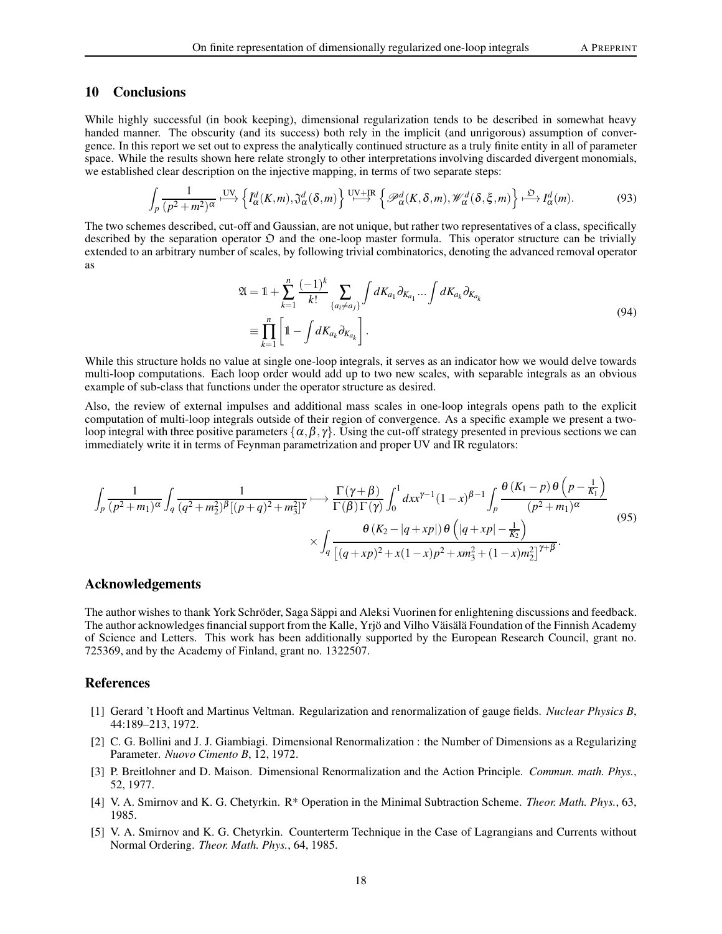# 10 Conclusions

While highly successful (in book keeping), dimensional regularization tends to be described in somewhat heavy handed manner. The obscurity (and its success) both rely in the implicit (and unrigorous) assumption of convergence. In this report we set out to express the analytically continued structure as a truly finite entity in all of parameter space. While the results shown here relate strongly to other interpretations involving discarded divergent monomials, we established clear description on the injective mapping, in terms of two separate steps:

$$
\int_{p} \frac{1}{(p^2 + m^2)^{\alpha}} \xrightarrow{\text{UV}} \left\{ \tilde{I}_{\alpha}^d(K, m), \tilde{\mathfrak{J}}_{\alpha}^d(\delta, m) \right\} \xrightarrow{\text{UV} + \text{IR}} \left\{ \mathcal{P}_{\alpha}^d(K, \delta, m), \mathcal{W}_{\alpha}^d(\delta, \xi, m) \right\} \xrightarrow{\mathfrak{O}} I_{\alpha}^d(m). \tag{93}
$$

The two schemes described, cut-off and Gaussian, are not unique, but rather two representatives of a class, specifically described by the separation operator  $\mathfrak D$  and the one-loop master formula. This operator structure can be trivially extended to an arbitrary number of scales, by following trivial combinatorics, denoting the advanced removal operator as

$$
\mathfrak{A} = \mathbb{1} + \sum_{k=1}^{n} \frac{(-1)^{k}}{k!} \sum_{\{a_{i} \neq a_{j}\}} \int dK_{a_{1}} \partial_{K_{a_{1}}} \dots \int dK_{a_{k}} \partial_{K_{a_{k}}}
$$
\n
$$
\equiv \prod_{k=1}^{n} \left[ \mathbb{1} - \int dK_{a_{k}} \partial_{K_{a_{k}}} \right].
$$
\n(94)

While this structure holds no value at single one-loop integrals, it serves as an indicator how we would delve towards multi-loop computations. Each loop order would add up to two new scales, with separable integrals as an obvious example of sub-class that functions under the operator structure as desired.

Also, the review of external impulses and additional mass scales in one-loop integrals opens path to the explicit computation of multi-loop integrals outside of their region of convergence. As a specific example we present a twoloop integral with three positive parameters  $\{\alpha, \beta, \gamma\}$ . Using the cut-off strategy presented in previous sections we can immediately write it in terms of Feynman parametrization and proper UV and IR regulators:

$$
\int_{p} \frac{1}{(p^2 + m_1)^{\alpha}} \int_{q} \frac{1}{(q^2 + m_2^2)^{\beta} [(p+q)^2 + m_3^2]^{\gamma}} \longmapsto \frac{\Gamma(\gamma + \beta)}{\Gamma(\beta)\Gamma(\gamma)} \int_{0}^{1} dx x^{\gamma - 1} (1 - x)^{\beta - 1} \int_{p} \frac{\theta (K_1 - p) \theta (p - \frac{1}{K_1})}{(p^2 + m_1)^{\alpha}} \times \int_{q} \frac{\theta (K_2 - |q + xp|) \theta (|q + xp| - \frac{1}{K_2})}{[(q + xp)^2 + x(1 - x)p^2 + xm_3^2 + (1 - x)m_2^2]^{\gamma + \beta}}.
$$
\n(95)

## Acknowledgements

The author wishes to thank York Schröder, Saga Säppi and Aleksi Vuorinen for enlightening discussions and feedback. The author acknowledges financial support from the Kalle, Yrjö and Vilho Väisälä Foundation of the Finnish Academy of Science and Letters. This work has been additionally supported by the European Research Council, grant no. 725369, and by the Academy of Finland, grant no. 1322507.

## <span id="page-17-0"></span>References

- [1] Gerard 't Hooft and Martinus Veltman. Regularization and renormalization of gauge fields. *Nuclear Physics B*, 44:189–213, 1972.
- <span id="page-17-1"></span>[2] C. G. Bollini and J. J. Giambiagi. Dimensional Renormalization : the Number of Dimensions as a Regularizing Parameter. *Nuovo Cimento B*, 12, 1972.
- <span id="page-17-2"></span>[3] P. Breitlohner and D. Maison. Dimensional Renormalization and the Action Principle. *Commun. math. Phys.*, 52, 1977.
- [4] V. A. Smirnov and K. G. Chetyrkin. R\* Operation in the Minimal Subtraction Scheme. *Theor. Math. Phys.*, 63, 1985.
- <span id="page-17-3"></span>[5] V. A. Smirnov and K. G. Chetyrkin. Counterterm Technique in the Case of Lagrangians and Currents without Normal Ordering. *Theor. Math. Phys.*, 64, 1985.